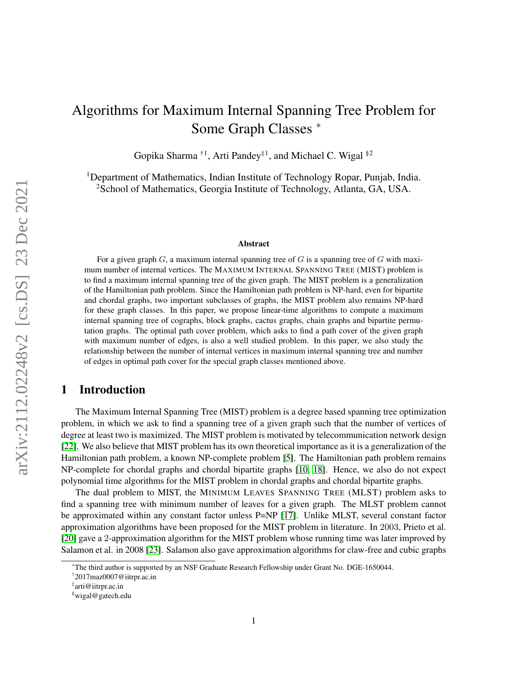# Algorithms for Maximum Internal Spanning Tree Problem for Some Graph Classes \*

Gopika Sharma<sup>†1</sup>, Arti Pandey<sup>‡1</sup>, and Michael C. Wigal <sup>§2</sup>

<sup>1</sup>Department of Mathematics, Indian Institute of Technology Ropar, Punjab, India. <sup>2</sup>School of Mathematics, Georgia Institute of Technology, Atlanta, GA, USA.

#### Abstract

For a given graph G, a maximum internal spanning tree of G is a spanning tree of G with maximum number of internal vertices. The MAXIMUM INTERNAL SPANNING TREE (MIST) problem is to find a maximum internal spanning tree of the given graph. The MIST problem is a generalization of the Hamiltonian path problem. Since the Hamiltonian path problem is NP-hard, even for bipartite and chordal graphs, two important subclasses of graphs, the MIST problem also remains NP-hard for these graph classes. In this paper, we propose linear-time algorithms to compute a maximum internal spanning tree of cographs, block graphs, cactus graphs, chain graphs and bipartite permutation graphs. The optimal path cover problem, which asks to find a path cover of the given graph with maximum number of edges, is also a well studied problem. In this paper, we also study the relationship between the number of internal vertices in maximum internal spanning tree and number of edges in optimal path cover for the special graph classes mentioned above.

## 1 Introduction

The Maximum Internal Spanning Tree (MIST) problem is a degree based spanning tree optimization problem, in which we ask to find a spanning tree of a given graph such that the number of vertices of degree at least two is maximized. The MIST problem is motivated by telecommunication network design [\[22\]](#page-23-0). We also believe that MIST problem has its own theoretical importance as it is a generalization of the Hamiltonian path problem, a known NP-complete problem [\[5\]](#page-22-0). The Hamiltonian path problem remains NP-complete for chordal graphs and chordal bipartite graphs [\[10,](#page-22-1) [18\]](#page-22-2). Hence, we also do not expect polynomial time algorithms for the MIST problem in chordal graphs and chordal bipartite graphs.

The dual problem to MIST, the MINIMUM LEAVES SPANNING TREE (MLST) problem asks to find a spanning tree with minimum number of leaves for a given graph. The MLST problem cannot be approximated within any constant factor unless P=NP [\[17\]](#page-22-3). Unlike MLST, several constant factor approximation algorithms have been proposed for the MIST problem in literature. In 2003, Prieto et al. [\[20\]](#page-23-1) gave a 2-approximation algorithm for the MIST problem whose running time was later improved by Salamon et al. in 2008 [\[23\]](#page-23-2). Salamon also gave approximation algorithms for claw-free and cubic graphs

<sup>\*</sup>The third author is supported by an NSF Graduate Research Fellowship under Grant No. DGE-1650044.

<sup>†</sup> 2017maz0007@iitrpr.ac.in

<sup>‡</sup> arti@iitrpr.ac.in

<sup>§</sup>wigal@gatech.edu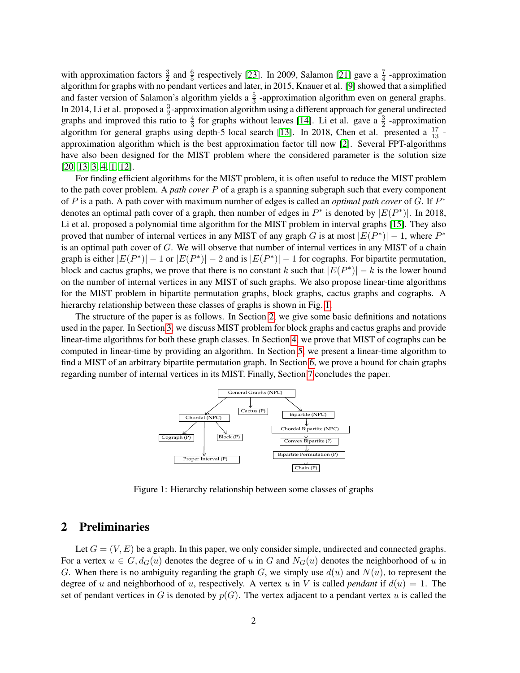with approximation factors  $\frac{3}{2}$  and  $\frac{6}{5}$  respectively [\[23\]](#page-23-2). In 2009, Salamon [\[21\]](#page-23-3) gave a  $\frac{7}{4}$  -approximation algorithm for graphs with no pendant vertices and later, in 2015, Knauer et al. [\[9\]](#page-22-4) showed that a simplified and faster version of Salamon's algorithm yields a  $\frac{5}{3}$  -approximation algorithm even on general graphs. In 2014, Li et al. proposed a  $\frac{3}{2}$ -approximation algorithm using a different approach for general undirected graphs and improved this ratio to  $\frac{4}{3}$  for graphs without leaves [\[14\]](#page-22-5). Li et al. gave a  $\frac{3}{2}$  -approximation algorithm for general graphs using depth-5 local search [\[13\]](#page-22-6). In 2018, Chen et al. presented a  $\frac{17}{13}$  approximation algorithm which is the best approximation factor till now [\[2\]](#page-21-0). Several FPT-algorithms have also been designed for the MIST problem where the considered parameter is the solution size [\[20,](#page-23-1) [13,](#page-22-6) [3,](#page-22-7) [4,](#page-22-8) [1,](#page-21-1) [12\]](#page-22-9).

For finding efficient algorithms for the MIST problem, it is often useful to reduce the MIST problem to the path cover problem. A *path cover* P of a graph is a spanning subgraph such that every component of P is a path. A path cover with maximum number of edges is called an *optimal path cover* of G. If  $P^*$ denotes an optimal path cover of a graph, then number of edges in  $P^*$  is denoted by  $|E(P^*)|$ . In 2018, Li et al. proposed a polynomial time algorithm for the MIST problem in interval graphs [\[15\]](#page-22-10). They also proved that number of internal vertices in any MIST of any graph G is at most  $|E(P^*)| - 1$ , where  $P^*$ is an optimal path cover of G. We will observe that number of internal vertices in any MIST of a chain graph is either  $|E(P^*)| - 1$  or  $|E(P^*)| - 2$  and is  $|E(P^*)| - 1$  for cographs. For bipartite permutation, block and cactus graphs, we prove that there is no constant k such that  $|E(P^*)| - k$  is the lower bound on the number of internal vertices in any MIST of such graphs. We also propose linear-time algorithms for the MIST problem in bipartite permutation graphs, block graphs, cactus graphs and cographs. A hierarchy relationship between these classes of graphs is shown in Fig. [1.](#page-1-0)

The structure of the paper is as follows. In Section [2,](#page-1-1) we give some basic definitions and notations used in the paper. In Section [3,](#page-3-0) we discuss MIST problem for block graphs and cactus graphs and provide linear-time algorithms for both these graph classes. In Section [4,](#page-4-0) we prove that MIST of cographs can be computed in linear-time by providing an algorithm. In Section [5,](#page-7-0) we present a linear-time algorithm to find a MIST of an arbitrary bipartite permutation graph. In Section [6,](#page-16-0) we prove a bound for chain graphs regarding number of internal vertices in its MIST. Finally, Section [7](#page-20-0) concludes the paper.



<span id="page-1-0"></span>Figure 1: Hierarchy relationship between some classes of graphs

## <span id="page-1-1"></span>2 Preliminaries

Let  $G = (V, E)$  be a graph. In this paper, we only consider simple, undirected and connected graphs. For a vertex  $u \in G$ ,  $d_G(u)$  denotes the degree of u in G and  $N_G(u)$  denotes the neighborhood of u in G. When there is no ambiguity regarding the graph G, we simply use  $d(u)$  and  $N(u)$ , to represent the degree of u and neighborhood of u, respectively. A vertex u in V is called *pendant* if  $d(u) = 1$ . The set of pendant vertices in G is denoted by  $p(G)$ . The vertex adjacent to a pendant vertex u is called the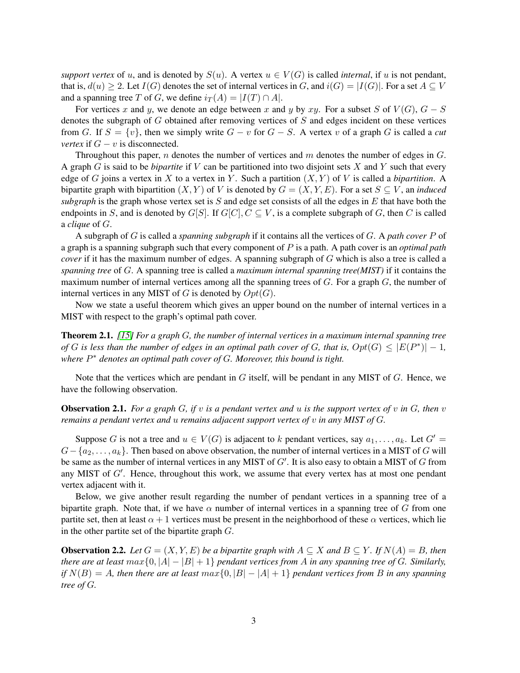*support vertex* of u, and is denoted by  $S(u)$ . A vertex  $u \in V(G)$  is called *internal*, if u is not pendant, that is,  $d(u) \geq 2$ . Let  $I(G)$  denotes the set of internal vertices in G, and  $i(G) = |I(G)|$ . For a set  $A \subseteq V$ and a spanning tree T of G, we define  $i_T(A) = |I(T) \cap A|$ .

For vertices x and y, we denote an edge between x and y by xy. For a subset S of  $V(G)$ ,  $G - S$ denotes the subgraph of G obtained after removing vertices of S and edges incident on these vertices from G. If  $S = \{v\}$ , then we simply write  $G - v$  for  $G - S$ . A vertex v of a graph G is called a *cut vertex* if  $G - v$  is disconnected.

Throughout this paper, n denotes the number of vertices and  $m$  denotes the number of edges in  $G$ . A graph G is said to be *bipartite* if V can be partitioned into two disjoint sets X and Y such that every edge of G joins a vertex in X to a vertex in Y. Such a partition  $(X, Y)$  of V is called a *bipartition*. A bipartite graph with bipartition  $(X, Y)$  of V is denoted by  $G = (X, Y, E)$ . For a set  $S \subseteq V$ , an *induced subgraph* is the graph whose vertex set is S and edge set consists of all the edges in E that have both the endpoints in S, and is denoted by  $G[S]$ . If  $G[C], C \subseteq V$ , is a complete subgraph of G, then C is called a *clique* of G.

A subgraph of G is called a *spanning subgraph* if it contains all the vertices of G. A *path cover* P of a graph is a spanning subgraph such that every component of P is a path. A path cover is an *optimal path cover* if it has the maximum number of edges. A spanning subgraph of G which is also a tree is called a *spanning tree* of G. A spanning tree is called a *maximum internal spanning tree(MIST)* if it contains the maximum number of internal vertices among all the spanning trees of  $G$ . For a graph  $G$ , the number of internal vertices in any MIST of G is denoted by  $Opt(G)$ .

Now we state a useful theorem which gives an upper bound on the number of internal vertices in a MIST with respect to the graph's optimal path cover.

<span id="page-2-0"></span>Theorem 2.1. *[\[15\]](#page-22-10) For a graph* G*, the number of internal vertices in a maximum internal spanning tree of* G is less than the number of edges in an optimal path cover of G, that is,  $Opt(G) \leq |E(P^*)| - 1$ , *where* P <sup>∗</sup> *denotes an optimal path cover of* G*. Moreover, this bound is tight.*

Note that the vertices which are pendant in  $G$  itself, will be pendant in any MIST of  $G$ . Hence, we have the following observation.

Observation 2.1. *For a graph* G*, if* v *is a pendant vertex and* u *is the support vertex of* v *in* G*, then* v *remains a pendant vertex and* u *remains adjacent support vertex of* v *in any MIST of* G*.*

Suppose G is not a tree and  $u \in V(G)$  is adjacent to k pendant vertices, say  $a_1, \ldots, a_k$ . Let  $G' =$  $G - \{a_2, \ldots, a_k\}$ . Then based on above observation, the number of internal vertices in a MIST of G will be same as the number of internal vertices in any MIST of  $G'$ . It is also easy to obtain a MIST of  $G$  from any MIST of  $G'$ . Hence, throughout this work, we assume that every vertex has at most one pendant vertex adjacent with it.

Below, we give another result regarding the number of pendant vertices in a spanning tree of a bipartite graph. Note that, if we have  $\alpha$  number of internal vertices in a spanning tree of G from one partite set, then at least  $\alpha + 1$  vertices must be present in the neighborhood of these  $\alpha$  vertices, which lie in the other partite set of the bipartite graph G.

<span id="page-2-1"></span>**Observation 2.2.** *Let*  $G = (X, Y, E)$  *be a bipartite graph with*  $A \subseteq X$  *and*  $B \subseteq Y$ *. If*  $N(A) = B$ *, then there are at least*  $max{0, |A| - |B| + 1}$  *pendant vertices from A in any spanning tree of G. Similarly, if*  $N(B) = A$ *, then there are at least*  $max\{0, |B| - |A| + 1\}$  *pendant vertices from* B *in any spanning tree of* G*.*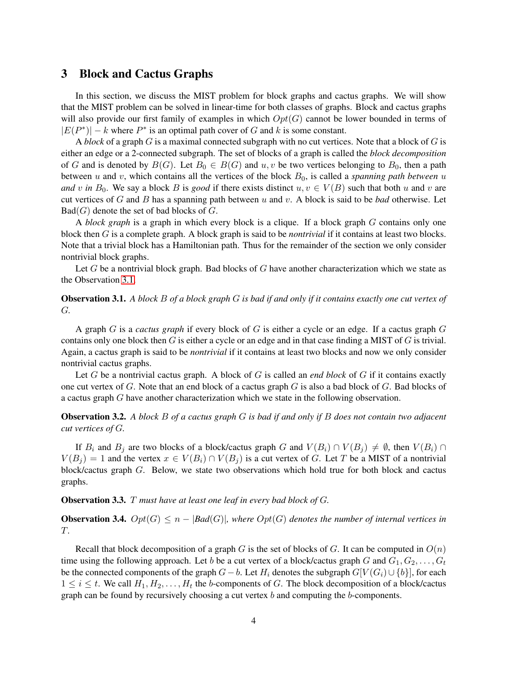#### <span id="page-3-0"></span>3 Block and Cactus Graphs

In this section, we discuss the MIST problem for block graphs and cactus graphs. We will show that the MIST problem can be solved in linear-time for both classes of graphs. Block and cactus graphs will also provide our first family of examples in which  $Opt(G)$  cannot be lower bounded in terms of  $|E(P^*)| - k$  where  $P^*$  is an optimal path cover of G and k is some constant.

A *block* of a graph G is a maximal connected subgraph with no cut vertices. Note that a block of G is either an edge or a 2-connected subgraph. The set of blocks of a graph is called the *block decomposition* of G and is denoted by  $B(G)$ . Let  $B_0 \in B(G)$  and  $u, v$  be two vertices belonging to  $B_0$ , then a path between u and v, which contains all the vertices of the block  $B_0$ , is called a *spanning path between* u *and* v in  $B_0$ . We say a block B is *good* if there exists distinct  $u, v \in V(B)$  such that both u and v are cut vertices of G and B has a spanning path between u and v. A block is said to be *bad* otherwise. Let  $Bad(G)$  denote the set of bad blocks of G.

A *block graph* is a graph in which every block is a clique. If a block graph G contains only one block then G is a complete graph. A block graph is said to be *nontrivial* if it contains at least two blocks. Note that a trivial block has a Hamiltonian path. Thus for the remainder of the section we only consider nontrivial block graphs.

Let G be a nontrivial block graph. Bad blocks of G have another characterization which we state as the Observation [3.1.](#page-3-1)

#### <span id="page-3-1"></span>Observation 3.1. *A block* B *of a block graph* G *is bad if and only if it contains exactly one cut vertex of* G*.*

A graph G is a *cactus graph* if every block of G is either a cycle or an edge. If a cactus graph G contains only one block then  $G$  is either a cycle or an edge and in that case finding a MIST of  $G$  is trivial. Again, a cactus graph is said to be *nontrivial* if it contains at least two blocks and now we only consider nontrivial cactus graphs.

Let G be a nontrivial cactus graph. A block of G is called an *end block* of G if it contains exactly one cut vertex of  $G$ . Note that an end block of a cactus graph  $G$  is also a bad block of  $G$ . Bad blocks of a cactus graph G have another characterization which we state in the following observation.

Observation 3.2. *A block* B *of a cactus graph* G *is bad if and only if* B *does not contain two adjacent cut vertices of* G*.*

If  $B_i$  and  $B_j$  are two blocks of a block/cactus graph G and  $V(B_i) \cap V(B_j) \neq \emptyset$ , then  $V(B_i) \cap V(B_j)$  $V(B_j) = 1$  and the vertex  $x \in V(B_i) \cap V(B_j)$  is a cut vertex of G. Let T be a MIST of a nontrivial block/cactus graph G. Below, we state two observations which hold true for both block and cactus graphs.

#### Observation 3.3. T *must have at least one leaf in every bad block of* G*.*

<span id="page-3-2"></span>**Observation 3.4.**  $Opt(G) \leq n - |Bad(G)|$ , where  $Opt(G)$  denotes the number of internal vertices in T*.*

Recall that block decomposition of a graph G is the set of blocks of G. It can be computed in  $O(n)$ time using the following approach. Let b be a cut vertex of a block/cactus graph G and  $G_1, G_2, \ldots, G_t$ be the connected components of the graph  $G-b$ . Let  $H_i$  denotes the subgraph  $G[V(G_i) \cup \{b\}]$ , for each  $1 \leq i \leq t$ . We call  $H_1, H_2, \ldots, H_t$  the b-components of G. The block decomposition of a block/cactus graph can be found by recursively choosing a cut vertex  $b$  and computing the  $b$ -components.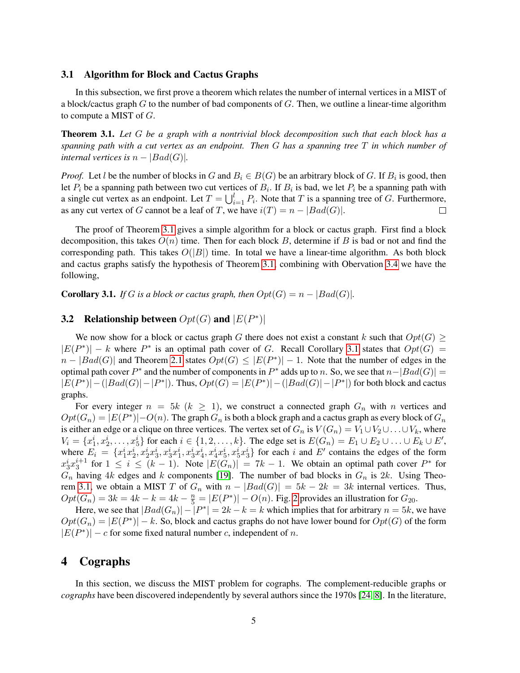#### 3.1 Algorithm for Block and Cactus Graphs

In this subsection, we first prove a theorem which relates the number of internal vertices in a MIST of a block/cactus graph  $G$  to the number of bad components of  $G$ . Then, we outline a linear-time algorithm to compute a MIST of  $G$ .

<span id="page-4-1"></span>Theorem 3.1. *Let* G *be a graph with a nontrivial block decomposition such that each block has a spanning path with a cut vertex as an endpoint. Then* G *has a spanning tree* T *in which number of internal vertices is*  $n - |Bad(G)|$ *.* 

*Proof.* Let l be the number of blocks in G and  $B_i \in B(G)$  be an arbitrary block of G. If  $B_i$  is good, then let  $P_i$  be a spanning path between two cut vertices of  $B_i$ . If  $B_i$  is bad, we let  $P_i$  be a spanning path with a single cut vertex as an endpoint. Let  $T = \bigcup_{i=1}^{l} P_i$ . Note that T is a spanning tree of G. Furthermore, as any cut vertex of G cannot be a leaf of T, we have  $i(T) = n - |Bad(G)|$ .  $\Box$ 

The proof of Theorem [3.1](#page-4-1) gives a simple algorithm for a block or cactus graph. First find a block decomposition, this takes  $O(n)$  time. Then for each block B, determine if B is bad or not and find the corresponding path. This takes  $O(|B|)$  time. In total we have a linear-time algorithm. As both block and cactus graphs satisfy the hypothesis of Theorem [3.1,](#page-4-1) combining with Obervation [3.4](#page-3-2) we have the following,

<span id="page-4-2"></span>**Corollary 3.1.** *If* G *is a block or cactus graph, then*  $Opt(G) = n - |Bad(G)|$ *.* 

## **3.2** Relationship between  $Opt(G)$  and  $|E(P^*)|$

We now show for a block or cactus graph G there does not exist a constant k such that  $Opt(G)$  $|E(P^*)| - k$  where  $P^*$  is an optimal path cover of G. Recall Corollary [3.1](#page-4-2) states that  $Opt(G)$  =  $n - |Bad(G)|$  and Theorem [2.1](#page-2-0) states  $Opt(G) \leq |E(P^*)| - 1$ . Note that the number of edges in the optimal path cover  $P^*$  and the number of components in  $P^*$  adds up to n. So, we see that  $n-|Bad(G)| =$  $|E(P^*)| - (|Bad(G)| - |P^*|)$ . Thus,  $Opt(G) = |E(P^*)| - (|Bad(G)| - |P^*|)$  for both block and cactus graphs.

For every integer  $n = 5k$  ( $k \ge 1$ ), we construct a connected graph  $G_n$  with n vertices and  $Opt(G_n) = |E(P^*)| - O(n)$ . The graph  $G_n$  is both a block graph and a cactus graph as every block of  $G_n$ is either an edge or a clique on three vertices. The vertex set of  $G_n$  is  $V(G_n) = V_1 \cup V_2 \cup \ldots \cup V_k$ , where  $V_i = \{x_1^i, x_2^i, \ldots, x_5^i\}$  for each  $i \in \{1, 2, \ldots, k\}$ . The edge set is  $E(G_n) = E_1 \cup E_2 \cup \ldots \cup E_k \cup E'$ , where  $E_i = \{x_1^i x_2^i, x_2^i x_3^i, x_3^i x_1^i, x_3^i x_4^i, x_4^i x_5^i, x_5^i x_3^i\}$  for each i and E' contains the edges of the form  $x_3^i x_3^{i+1}$  for  $1 \leq i \leq (k-1)$ . Note  $|E(G_n)| = 7k - 1$ . We obtain an optimal path cover  $P^*$  for  $G_n$  having 4k edges and k components [\[19\]](#page-22-11). The number of bad blocks in  $G_n$  is 2k. Using Theo-rem [3.1,](#page-4-1) we obtain a MIST T of  $G_n$  with  $n - |Bad(G)| = 5k - 2k = 3k$  internal vertices. Thus,  $Opt(G_n) = 3k = 4k - k = 4k - \frac{n}{5} = |E(P^*)| - O(n)$ . Fig. [2](#page-5-0) provides an illustration for  $G_{20}$ .

Here, we see that  $|Bad(G_n)| - |P^*| = 2k - k = k$  which implies that for arbitrary  $n = 5k$ , we have  $Opt(G_n) = |E(P^*)| - k$ . So, block and cactus graphs do not have lower bound for  $Opt(G)$  of the form  $|E(P^*)| - c$  for some fixed natural number c, independent of n.

## <span id="page-4-0"></span>4 Cographs

In this section, we discuss the MIST problem for cographs. The complement-reducible graphs or *cographs* have been discovered independently by several authors since the 1970s [\[24,](#page-23-4) [8\]](#page-22-12). In the literature,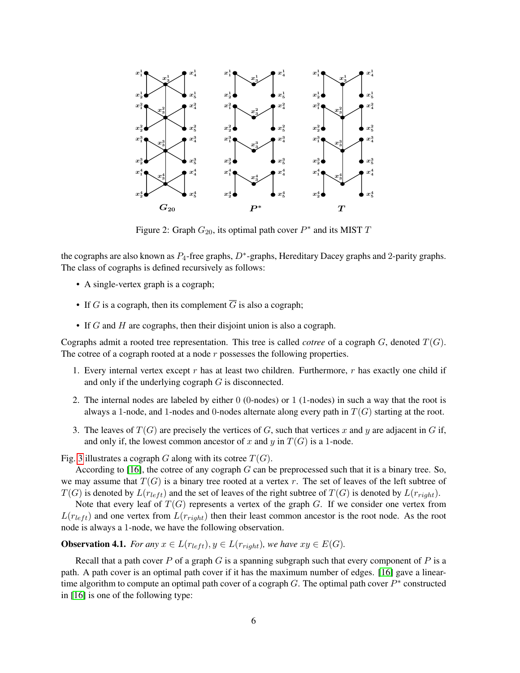

<span id="page-5-0"></span>Figure 2: Graph  $G_{20}$ , its optimal path cover  $P^*$  and its MIST T

the cographs are also known as  $P_4$ -free graphs,  $D^*$ -graphs, Hereditary Dacey graphs and 2-parity graphs. The class of cographs is defined recursively as follows:

- A single-vertex graph is a cograph;
- If G is a cograph, then its complement  $\overline{G}$  is also a cograph;
- If  $G$  and  $H$  are cographs, then their disjoint union is also a cograph.

Cographs admit a rooted tree representation. This tree is called *cotree* of a cograph  $G$ , denoted  $T(G)$ . The cotree of a cograph rooted at a node  $r$  possesses the following properties.

- 1. Every internal vertex except r has at least two children. Furthermore, r has exactly one child if and only if the underlying cograph  $G$  is disconnected.
- 2. The internal nodes are labeled by either 0 (0-nodes) or 1 (1-nodes) in such a way that the root is always a 1-node, and 1-nodes and 0-nodes alternate along every path in  $T(G)$  starting at the root.
- 3. The leaves of  $T(G)$  are precisely the vertices of G, such that vertices x and y are adjacent in G if, and only if, the lowest common ancestor of x and y in  $T(G)$  is a 1-node.

Fig. [3](#page-6-0) illustrates a cograph G along with its cotree  $T(G)$ .

According to  $[16]$ , the cotree of any cograph G can be preprocessed such that it is a binary tree. So, we may assume that  $T(G)$  is a binary tree rooted at a vertex r. The set of leaves of the left subtree of  $T(G)$  is denoted by  $L(r_{left})$  and the set of leaves of the right subtree of  $T(G)$  is denoted by  $L(r_{right})$ .

Note that every leaf of  $T(G)$  represents a vertex of the graph G. If we consider one vertex from  $L(r_{left})$  and one vertex from  $L(r_{right})$  then their least common ancestor is the root node. As the root node is always a 1-node, we have the following observation.

<span id="page-5-1"></span>**Observation 4.1.** *For any*  $x \in L(r_{left}), y \in L(r_{right}),$  *we have*  $xy \in E(G)$ *.* 

Recall that a path cover P of a graph G is a spanning subgraph such that every component of P is a path. A path cover is an optimal path cover if it has the maximum number of edges. [\[16\]](#page-22-13) gave a lineartime algorithm to compute an optimal path cover of a cograph  $G$ . The optimal path cover  $P^*$  constructed in [\[16\]](#page-22-13) is one of the following type: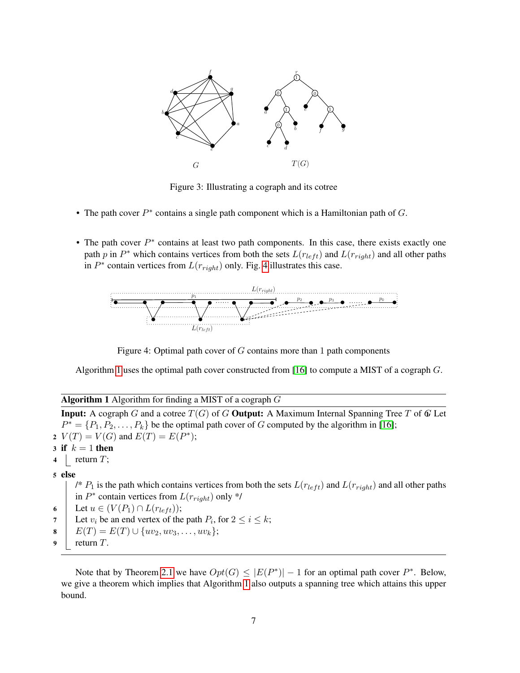

<span id="page-6-0"></span>Figure 3: Illustrating a cograph and its cotree

- The path cover  $P^*$  contains a single path component which is a Hamiltonian path of  $G$ .
- The path cover  $P^*$  contains at least two path components. In this case, there exists exactly one path p in  $P^*$  which contains vertices from both the sets  $L(r_{left})$  and  $L(r_{right})$  and all other paths in  $P^*$  contain vertices from  $L(r_{right})$  only. Fig. [4](#page-6-1) illustrates this case.



<span id="page-6-1"></span>Figure 4: Optimal path cover of  $G$  contains more than 1 path components

Algorithm [1](#page-6-2) uses the optimal path cover constructed from [\[16\]](#page-22-13) to compute a MIST of a cograph G.

<span id="page-6-2"></span>Algorithm 1 Algorithm for finding a MIST of a cograph  $G$ 

**Input:** A cograph G and a cotree  $T(G)$  of G **Output:** A Maximum Internal Spanning Tree T of G Let  $P^* = \{P_1, P_2, \ldots, P_k\}$  be the optimal path cover of G computed by the algorithm in [\[16\]](#page-22-13); 2  $V(T) = V(G)$  and  $E(T) = E(P^*)$ ; 3 if  $k = 1$  then 4 | return  $T$ ; 5 else /\*  $P_1$  is the path which contains vertices from both the sets  $L(r_{left})$  and  $L(r_{right})$  and all other paths in  $P^*$  contain vertices from  $L(r_{right})$  only \*/ 6 Let  $u \in (V(P_1) \cap L(r_{left}))$ ;<br>7 Let  $v_i$  be an end vertex of the 7 Let  $v_i$  be an end vertex of the path  $P_i$ , for  $2 \le i \le k$ ; 8  $E(T) = E(T) \cup \{uv_2, uv_3, \ldots, uv_k\};$ <br>9 return T. return  $T$ .

Note that by Theorem [2.1](#page-2-0) we have  $Opt(G) \leq |E(P^*)| - 1$  for an optimal path cover  $P^*$ . Below, we give a theorem which implies that Algorithm [1](#page-6-2) also outputs a spanning tree which attains this upper bound.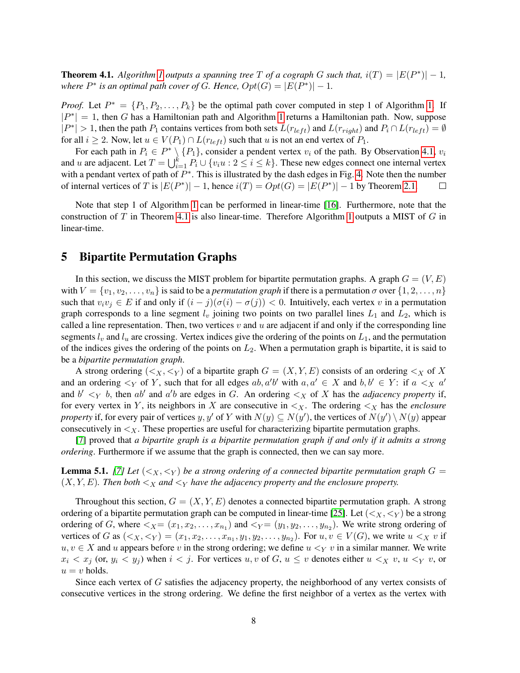<span id="page-7-1"></span>**Theorem 4.1.** *Algorithm [1](#page-6-2) outputs a spanning tree*  $T$  *of a cograph*  $G$  *such that,*  $i(T) = |E(P^*)| - 1$ *, where*  $P^*$  *is an optimal path cover of G. Hence,*  $Opt(G) = |E(P^*)| - 1$ *.* 

*Proof.* Let  $P^* = \{P_1, P_2, \ldots, P_k\}$  be the optimal path cover computed in step 1 of Algorithm [1.](#page-6-2) If  $|P^*| = 1$  $|P^*| = 1$ , then G has a Hamiltonian path and Algorithm 1 returns a Hamiltonian path. Now, suppose  $|P^*| > 1$ , then the path  $P_1$  contains vertices from both sets  $L(r_{left})$  and  $L(r_{right})$  and  $P_i \cap L(r_{left}) = \emptyset$ for all  $i \geq 2$ . Now, let  $u \in V(P_1) \cap L(r_{left})$  such that u is not an end vertex of  $P_1$ .

For each path in  $P_i \in P^* \setminus \{P_1\}$ , consider a pendent vertex  $v_i$  of the path. By Observation [4.1,](#page-5-1)  $v_i$ and u are adjacent. Let  $T = \bigcup_{i=1}^{k} P_i \cup \{v_i u : 2 \le i \le k\}$ . These new edges connect one internal vertex with a pendant vertex of path of  $P^*$ . This is illustrated by the dash edges in Fig. [4.](#page-6-1) Note then the number of internal vertices of T is  $|E(P^*)| - 1$ , hence  $i(T) = Opt(G) = |E(P^*)| - 1$  by Theorem [2.1.](#page-2-0)  $\Box$ 

Note that step 1 of Algorithm [1](#page-6-2) can be performed in linear-time [\[16\]](#page-22-13). Furthermore, note that the construction of T in Theorem [4.1](#page-7-1) is also linear-time. Therefore Algorithm [1](#page-6-2) outputs a MIST of G in linear-time.

## <span id="page-7-0"></span>5 Bipartite Permutation Graphs

In this section, we discuss the MIST problem for bipartite permutation graphs. A graph  $G = (V, E)$ with  $V = \{v_1, v_2, \ldots, v_n\}$  is said to be a *permutation graph* if there is a permutation  $\sigma$  over  $\{1, 2, \ldots, n\}$ such that  $v_i v_j \in E$  if and only if  $(i - j)(\sigma(i) - \sigma(j)) < 0$ . Intuitively, each vertex v in a permutation graph corresponds to a line segment  $l_v$  joining two points on two parallel lines  $L_1$  and  $L_2$ , which is called a line representation. Then, two vertices  $v$  and  $u$  are adjacent if and only if the corresponding line segments  $l_v$  and  $l_u$  are crossing. Vertex indices give the ordering of the points on  $L_1$ , and the permutation of the indices gives the ordering of the points on  $L_2$ . When a permutation graph is bipartite, it is said to be a *bipartite permutation graph*.

A strong ordering  $(*x*, *y*)$  of a bipartite graph  $G = (X, Y, E)$  consists of an ordering  *of X* and an ordering  $\lt_Y$  of Y, such that for all edges  $ab, a'b'$  with  $a, a' \in X$  and  $b, b' \in Y$ : if  $a \lt_X a'$ and  $b' <sub>Y</sub> b$ , then ab' and a'b are edges in G. An ordering  $\lt x$  of X has the *adjacency property* if, for every vertex in Y, its neighbors in X are consecutive in  $\lt_X$ . The ordering  $\lt_X$  has the *enclosure property* if, for every pair of vertices y, y' of Y with  $N(y) \subseteq N(y')$ , the vertices of  $N(y') \setminus N(y)$  appear consecutively in  $\lt X$ . These properties are useful for characterizing bipartite permutation graphs.

[\[7\]](#page-22-14) proved that *a bipartite graph is a bipartite permutation graph if and only if it admits a strong ordering*. Furthermore if we assume that the graph is connected, then we can say more.

**Lemma 5.1.** [\[7\]](#page-22-14) Let  $(<sub>X</sub>, <sub>Y</sub>)$  be a strong ordering of a connected bipartite permutation graph  $G =$  $(X, Y, E)$ *. Then both*  $\lt_X$  *and*  $\lt_Y$  *have the adjacency property and the enclosure property.* 

Throughout this section,  $G = (X, Y, E)$  denotes a connected bipartite permutation graph. A strong ordering of a bipartite permutation graph can be computed in linear-time [\[25\]](#page-23-5). Let  $(*X*, *Y*)$  be a strong ordering of G, where  $\lt;_X = (x_1, x_2, \ldots, x_{n_1})$  and  $\lt;_Y = (y_1, y_2, \ldots, y_{n_2})$ . We write strong ordering of vertices of G as  $(\langle x, \langle y \rangle = (x_1, x_2, \dots, x_{n_1}, y_1, y_2, \dots, y_{n_2})$ . For  $u, v \in V(G)$ , we write  $u \leq_X v$  if  $u, v \in X$  and u appears before v in the strong ordering; we define  $u \leq_Y v$  in a similar manner. We write  $x_i < x_j$  (or,  $y_i < y_j$ ) when  $i < j$ . For vertices  $u, v$  of  $G, u \le v$  denotes either  $u <_X v, u <_Y v$ , or  $u = v$  holds.

Since each vertex of G satisfies the adjacency property, the neighborhood of any vertex consists of consecutive vertices in the strong ordering. We define the first neighbor of a vertex as the vertex with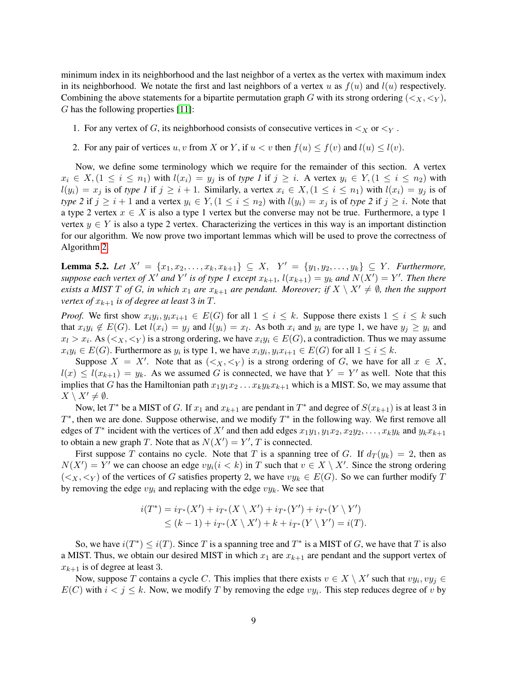minimum index in its neighborhood and the last neighbor of a vertex as the vertex with maximum index in its neighborhood. We notate the first and last neighbors of a vertex u as  $f(u)$  and  $l(u)$  respectively. Combining the above statements for a bipartite permutation graph G with its strong ordering  $($ ), G has the following properties [\[11\]](#page-22-15):

- 1. For any vertex of G, its neighborhood consists of consecutive vertices in  $\lt_X$  or  $\lt_Y$ .
- 2. For any pair of vertices u, v from X or Y, if  $u < v$  then  $f(u) < f(v)$  and  $l(u) < l(v)$ .

Now, we define some terminology which we require for the remainder of this section. A vertex  $x_i \in X$ ,  $(1 \le i \le n_1)$  with  $l(x_i) = y_i$  is of *type 1* if  $j \ge i$ . A vertex  $y_i \in Y$ ,  $(1 \le i \le n_2)$  with  $l(y_i) = x_j$  is of *type 1* if  $j \geq i + 1$ . Similarly, a vertex  $x_i \in X$ ,  $(1 \leq i \leq n_1)$  with  $l(x_i) = y_j$  is of *type 2* if  $j \geq i + 1$  and a vertex  $y_i \in Y$ ,  $(1 \leq i \leq n_2)$  with  $l(y_i) = x_j$  is of *type 2* if  $j \geq i$ . Note that a type 2 vertex  $x \in X$  is also a type 1 vertex but the converse may not be true. Furthermore, a type 1 vertex  $y \in Y$  is also a type 2 vertex. Characterizing the vertices in this way is an important distinction for our algorithm. We now prove two important lemmas which will be used to prove the correctness of Algorithm [2.](#page-12-0)

<span id="page-8-0"></span>**Lemma 5.2.** *Let*  $X' = \{x_1, x_2, ..., x_k, x_{k+1}\}$  ⊆  $X$ ,  $Y' = \{y_1, y_2, ..., y_k\}$  ⊆  $Y$ *. Furthermore, suppose each vertex of*  $X'$  *and*  $Y'$  *is of type 1 except*  $x_{k+1}$ ,  $l(x_{k+1}) = y_k$  *and*  $N(X') = Y'$ . *Then there exists a MIST* T *of* G, in which  $x_1$  *are*  $x_{k+1}$  *are pendant. Moreover; if*  $X \setminus X' \neq \emptyset$ *, then the support vertex of*  $x_{k+1}$  *is of degree at least* 3 *in*  $T$ .

*Proof.* We first show  $x_i y_i, y_i x_{i+1} \in E(G)$  for all  $1 \leq i \leq k$ . Suppose there exists  $1 \leq i \leq k$  such that  $x_iy_i \notin E(G)$ . Let  $l(x_i) = y_j$  and  $l(y_i) = x_l$ . As both  $x_i$  and  $y_i$  are type 1, we have  $y_j \ge y_i$  and  $x_l > x_i$ . As  $(*X*, *Y*)$  is a strong ordering, we have  $x_i y_i \in E(G)$ , a contradiction. Thus we may assume  $x_i y_i \in E(G)$ . Furthermore as  $y_i$  is type 1, we have  $x_i y_i, y_i x_{i+1} \in E(G)$  for all  $1 \le i \le k$ .

Suppose  $X = X'$ . Note that as  $(*X*, *Y*)$  is a strong ordering of G, we have for all  $x \in X$ ,  $l(x) \le l(x_{k+1}) = y_k$ . As we assumed G is connected, we have that  $Y = Y'$  as well. Note that this implies that G has the Hamiltonian path  $x_1y_1x_2 \ldots x_ky_kx_{k+1}$  which is a MIST. So, we may assume that  $X \setminus X' \neq \emptyset$ .

Now, let  $T^*$  be a MIST of G. If  $x_1$  and  $x_{k+1}$  are pendant in  $T^*$  and degree of  $S(x_{k+1})$  is at least 3 in  $T^*$ , then we are done. Suppose otherwise, and we modify  $T^*$  in the following way. We first remove all edges of  $T^*$  incident with the vertices of X' and then add edges  $x_1y_1, y_1x_2, x_2y_2, \ldots, x_ky_k$  and  $y_kx_{k+1}$ to obtain a new graph T. Note that as  $N(X') = Y'$ , T is connected.

First suppose T contains no cycle. Note that T is a spanning tree of G. If  $d_T(y_k) = 2$ , then as  $N(X') = Y'$  we can choose an edge  $vy_i(i < k)$  in T such that  $v \in X \setminus X'$ . Since the strong ordering  $(*x*, *y*)$  of the vertices of G satisfies property 2, we have  $vy_k \in E(G)$ . So we can further modify T by removing the edge  $vy_i$  and replacing with the edge  $vy_k$ . We see that

$$
i(T^*) = i_{T^*}(X') + i_{T^*}(X \setminus X') + i_{T^*}(Y') + i_{T^*}(Y \setminus Y') \leq (k-1) + i_{T^*}(X \setminus X') + k + i_{T^*}(Y \setminus Y') = i(T).
$$

So, we have  $i(T^*) \leq i(T)$ . Since T is a spanning tree and  $T^*$  is a MIST of G, we have that T is also a MIST. Thus, we obtain our desired MIST in which  $x_1$  are  $x_{k+1}$  are pendant and the support vertex of  $x_{k+1}$  is of degree at least 3.

Now, suppose T contains a cycle C. This implies that there exists  $v \in X \setminus X'$  such that  $vy_i, vy_j \in$  $E(C)$  with  $i < j \le k$ . Now, we modify T by removing the edge  $vy_i$ . This step reduces degree of v by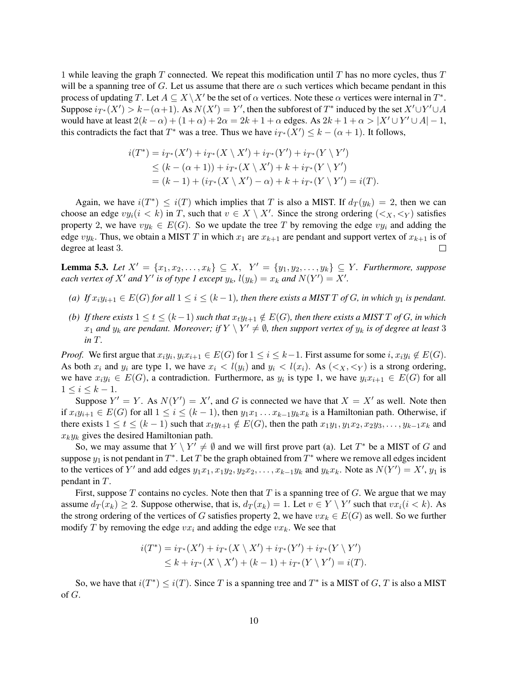1 while leaving the graph  $T$  connected. We repeat this modification until  $T$  has no more cycles, thus  $T$ will be a spanning tree of G. Let us assume that there are  $\alpha$  such vertices which became pendant in this process of updating T. Let  $A \subseteq X \backslash X'$  be the set of  $\alpha$  vertices. Note these  $\alpha$  vertices were internal in  $T^*$ . Suppose  $i_{T^*}(X') > k - (\alpha+1)$ . As  $N(X') = Y'$ , then the subforest of  $T^*$  induced by the set  $X' \cup Y' \cup A$ would have at least  $2(k - \alpha) + (1 + \alpha) + 2\alpha = 2k + 1 + \alpha$  edges. As  $2k + 1 + \alpha > |X' \cup Y' \cup A| - 1$ , this contradicts the fact that  $T^*$  was a tree. Thus we have  $i_{T^*}(X') \leq k - (\alpha + 1)$ . It follows,

$$
i(T^*) = i_{T^*}(X') + i_{T^*}(X \setminus X') + i_{T^*}(Y') + i_{T^*}(Y \setminus Y')
$$
  
\n
$$
\leq (k - (\alpha + 1)) + i_{T^*}(X \setminus X') + k + i_{T^*}(Y \setminus Y')
$$
  
\n
$$
= (k - 1) + (i_{T^*}(X \setminus X') - \alpha) + k + i_{T^*}(Y \setminus Y') = i(T).
$$

Again, we have  $i(T^*) \leq i(T)$  which implies that T is also a MIST. If  $d_T(y_k) = 2$ , then we can choose an edge  $vy_i(i < k)$  in T, such that  $v \in X \setminus X'$ . Since the strong ordering  $(*x*, *y*)$  satisfies property 2, we have  $vy_k \in E(G)$ . So we update the tree T by removing the edge  $vy_i$  and adding the edge  $vy_k$ . Thus, we obtain a MIST T in which  $x_1$  are  $x_{k+1}$  are pendant and support vertex of  $x_{k+1}$  is of degree at least 3.  $\Box$ 

<span id="page-9-0"></span>**Lemma 5.3.** *Let*  $X' = \{x_1, x_2, ..., x_k\}$  ⊆ X,  $Y' = \{y_1, y_2, ..., y_k\}$  ⊆ Y. *Furthermore, suppose each vertex of*  $X'$  *and*  $Y'$  *is of type 1 except*  $y_k$ ,  $l(y_k) = x_k$  *and*  $N(Y') = X'$ .

- *(a)* If  $x_i y_{i+1} \in E(G)$  *for all*  $1 \leq i \leq (k-1)$ *, then there exists a MIST* T *of* G*, in which*  $y_1$  *is pendant.*
- *(b)* If there exists  $1 \le t \le (k-1)$  such that  $x_t y_{t+1} \notin E(G)$ , then there exists a MIST T of G, in which  $x_1$  and  $y_k$  are pendant. Moreover; if  $Y \setminus Y' \neq \emptyset$ , then support vertex of  $y_k$  is of degree at least 3 *in* T*.*

*Proof.* We first argue that  $x_i y_i, y_i x_{i+1} \in E(G)$  for  $1 \leq i \leq k-1$ . First assume for some  $i, x_i y_i \notin E(G)$ . As both  $x_i$  and  $y_i$  are type 1, we have  $x_i < l(y_i)$  and  $y_i < l(x_i)$ . As  $(*x*, *y*)$  is a strong ordering, we have  $x_i y_i \in E(G)$ , a contradiction. Furthermore, as  $y_i$  is type 1, we have  $y_i x_{i+1} \in E(G)$  for all  $1 \leq i \leq k-1$ .

Suppose  $Y' = Y$ . As  $N(Y') = X'$ , and G is connected we have that  $X = X'$  as well. Note then if  $x_iy_{i+1} \in E(G)$  for all  $1 \leq i \leq (k-1)$ , then  $y_1x_1 \ldots x_{k-1}y_kx_k$  is a Hamiltonian path. Otherwise, if there exists  $1 \le t \le (k-1)$  such that  $x_t y_{t+1} \notin E(G)$ , then the path  $x_1 y_1, y_1 x_2, x_2 y_3, \ldots, y_{k-1} x_k$  and  $x_ky_k$  gives the desired Hamiltonian path.

So, we may assume that  $Y \setminus Y' \neq \emptyset$  and we will first prove part (a). Let  $T^*$  be a MIST of G and suppose  $y_1$  is not pendant in  $T^*$ . Let T be the graph obtained from  $T^*$  where we remove all edges incident to the vertices of Y' and add edges  $y_1x_1, x_1y_2, y_2x_2, \ldots, x_{k-1}y_k$  and  $y_kx_k$ . Note as  $N(Y') = X'$ ,  $y_1$  is pendant in T.

First, suppose T contains no cycles. Note then that T is a spanning tree of G. We argue that we may assume  $d_T(x_k) \ge 2$ . Suppose otherwise, that is,  $d_T(x_k) = 1$ . Let  $v \in Y \setminus Y'$  such that  $vx_i (i \le k)$ . As the strong ordering of the vertices of G satisfies property 2, we have  $vx_k \in E(G)$  as well. So we further modify T by removing the edge  $vx_i$  and adding the edge  $vx_k$ . We see that

$$
i(T^*) = i_{T^*}(X') + i_{T^*}(X \setminus X') + i_{T^*}(Y') + i_{T^*}(Y \setminus Y') \leq k + i_{T^*}(X \setminus X') + (k - 1) + i_{T^*}(Y \setminus Y') = i(T).
$$

So, we have that  $i(T^*) \leq i(T)$ . Since T is a spanning tree and  $T^*$  is a MIST of G, T is also a MIST of G.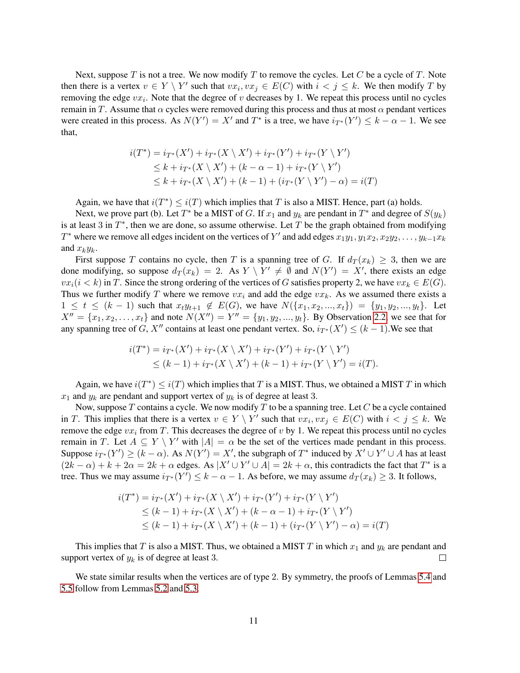Next, suppose  $T$  is not a tree. We now modify  $T$  to remove the cycles. Let  $C$  be a cycle of  $T$ . Note then there is a vertex  $v \in Y \setminus Y'$  such that  $vx_i, vx_j \in E(C)$  with  $i < j \le k$ . We then modify T by removing the edge  $vx_i$ . Note that the degree of v decreases by 1. We repeat this process until no cycles remain in T. Assume that  $\alpha$  cycles were removed during this process and thus at most  $\alpha$  pendant vertices were created in this process. As  $N(Y') = X'$  and  $T^*$  is a tree, we have  $i_{T^*}(Y') \leq k - \alpha - 1$ . We see that,

$$
i(T^*) = i_{T^*}(X') + i_{T^*}(X \setminus X') + i_{T^*}(Y') + i_{T^*}(Y \setminus Y')
$$
  
\n
$$
\leq k + i_{T^*}(X \setminus X') + (k - \alpha - 1) + i_{T^*}(Y \setminus Y')
$$
  
\n
$$
\leq k + i_{T^*}(X \setminus X') + (k - 1) + (i_{T^*}(Y \setminus Y') - \alpha) = i(T)
$$

Again, we have that  $i(T^*) \leq i(T)$  which implies that T is also a MIST. Hence, part (a) holds.

Next, we prove part (b). Let  $T^*$  be a MIST of G. If  $x_1$  and  $y_k$  are pendant in  $T^*$  and degree of  $S(y_k)$ is at least 3 in  $T^*$ , then we are done, so assume otherwise. Let T be the graph obtained from modifying  $T^*$  where we remove all edges incident on the vertices of  $Y'$  and add edges  $x_1y_1, y_1x_2, x_2y_2, \ldots, y_{k-1}x_k$ and  $x_ky_k$ .

First suppose T contains no cycle, then T is a spanning tree of G. If  $d_T(x_k) \geq 3$ , then we are done modifying, so suppose  $d_T(x_k) = 2$ . As  $Y \setminus Y' \neq \emptyset$  and  $N(Y') = X'$ , there exists an edge  $vx_i(i < k)$  in T. Since the strong ordering of the vertices of G satisfies property 2, we have  $vx_k \in E(G)$ . Thus we further modify T where we remove  $vx_i$  and add the edge  $vx_k$ . As we assumed there exists a  $1 \leq t \leq (k-1)$  such that  $x_t y_{t+1} \notin E(G)$ , we have  $N({x_1, x_2, ..., x_t}) = {y_1, y_2, ..., y_t}$ . Let  $X'' = \{x_1, x_2, \ldots, x_t\}$  and note  $N(X'') = Y'' = \{y_1, y_2, \ldots, y_t\}$ . By Observation [2.2,](#page-2-1) we see that for any spanning tree of G, X<sup>n</sup> contains at least one pendant vertex. So,  $i_{T^*}(X') \leq (k-1)$ . We see that

$$
i(T^*) = i_{T^*}(X') + i_{T^*}(X \setminus X') + i_{T^*}(Y') + i_{T^*}(Y \setminus Y')
$$
  
 
$$
\leq (k-1) + i_{T^*}(X \setminus X') + (k-1) + i_{T^*}(Y \setminus Y') = i(T).
$$

Again, we have  $i(T^*) \leq i(T)$  which implies that T is a MIST. Thus, we obtained a MIST T in which  $x_1$  and  $y_k$  are pendant and support vertex of  $y_k$  is of degree at least 3.

Now, suppose T contains a cycle. We now modify T to be a spanning tree. Let C be a cycle contained in T. This implies that there is a vertex  $v \in Y \setminus Y'$  such that  $vx_i, vx_j \in E(C)$  with  $i < j \le k$ . We remove the edge  $vx_i$  from T. This decreases the degree of v by 1. We repeat this process until no cycles remain in T. Let  $A \subseteq Y \setminus Y'$  with  $|A| = \alpha$  be the set of the vertices made pendant in this process. Suppose  $i_{T^*}(Y') \ge (k - \alpha)$ . As  $N(Y') = X'$ , the subgraph of  $T^*$  induced by  $X' \cup Y' \cup A$  has at least  $(2k - \alpha) + k + 2\alpha = 2k + \alpha$  edges. As  $|X' \cup Y' \cup A| = 2k + \alpha$ , this contradicts the fact that  $T^*$  is a tree. Thus we may assume  $i_{T^*}(Y') \leq k - \alpha - 1$ . As before, we may assume  $d_T(x_k) \geq 3$ . It follows,

$$
i(T^*) = i_{T^*}(X') + i_{T^*}(X \setminus X') + i_{T^*}(Y') + i_{T^*}(Y \setminus Y')
$$
  
\n
$$
\leq (k-1) + i_{T^*}(X \setminus X') + (k - \alpha - 1) + i_{T^*}(Y \setminus Y')
$$
  
\n
$$
\leq (k-1) + i_{T^*}(X \setminus X') + (k-1) + (i_{T^*}(Y \setminus Y') - \alpha) = i(T)
$$

This implies that T is also a MIST. Thus, we obtained a MIST T in which  $x_1$  and  $y_k$  are pendant and support vertex of  $y_k$  is of degree at least 3.  $\Box$ 

We state similar results when the vertices are of type 2. By symmetry, the proofs of Lemmas [5.4](#page-11-0) and [5.5](#page-11-1) follow from Lemmas [5.2](#page-8-0) and [5.3.](#page-9-0)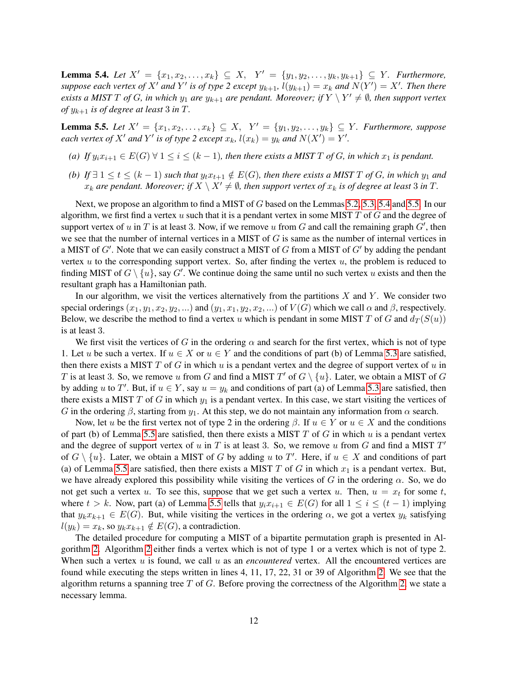<span id="page-11-0"></span>**Lemma 5.4.** *Let*  $X' = \{x_1, x_2, ..., x_k\}$  ⊆ X,  $Y' = \{y_1, y_2, ..., y_k, y_{k+1}\}$  ⊆ Y. Furthermore, *suppose each vertex of*  $X'$  *and*  $Y'$  *is of type 2 except*  $y_{k+1}$ ,  $l(y_{k+1}) = x_k$  *and*  $N(Y') = X'$ *. Then there exists a MIST*  $T$  *of*  $G$ *, in which*  $y_1$  *are*  $y_{k+1}$  *are pendant. Moreover; if*  $Y \setminus Y' \neq \emptyset$ *, then support vertex of*  $y_{k+1}$  *is of degree at least* 3 *in*  $T$ .

<span id="page-11-1"></span>**Lemma 5.5.** *Let*  $X' = \{x_1, x_2, ..., x_k\}$  ⊆ X,  $Y' = \{y_1, y_2, ..., y_k\}$  ⊆ Y. *Furthermore, suppose each vertex of*  $X'$  *and*  $Y'$  *is of type* 2 *except*  $x_k$ *,*  $l(x_k) = y_k$  *and*  $N(X') = Y'$ *.* 

- *(a)* If  $y_i x_{i+1} \in E(G)$   $\forall$  1  $\leq$  *i*  $\leq$   $(k-1)$ *, then there exists a MIST* T *of* G, *in which*  $x_1$  *is pendant.*
- *(b)* If  $\exists$  1 ≤ t ≤ (k − 1) such that  $y_t x_{t+1} \notin E(G)$ , then there exists a MIST T of G, in which  $y_1$  and  $x_k$  are pendant. Moreover; if  $X \setminus X' \neq \emptyset$ , then support vertex of  $x_k$  is of degree at least 3 in T.

Next, we propose an algorithm to find a MIST of G based on the Lemmas [5.2,](#page-8-0) [5.3,](#page-9-0) [5.4](#page-11-0) and [5.5.](#page-11-1) In our algorithm, we first find a vertex u such that it is a pendant vertex in some MIST  $T$  of  $G$  and the degree of support vertex of u in T is at least 3. Now, if we remove u from G and call the remaining graph  $G'$ , then we see that the number of internal vertices in a MIST of  $G$  is same as the number of internal vertices in a MIST of  $G'$ . Note that we can easily construct a MIST of  $G$  from a MIST of  $G'$  by adding the pendant vertex  $u$  to the corresponding support vertex. So, after finding the vertex  $u$ , the problem is reduced to finding MIST of  $G \setminus \{u\}$ , say  $G'$ . We continue doing the same until no such vertex u exists and then the resultant graph has a Hamiltonian path.

In our algorithm, we visit the vertices alternatively from the partitions  $X$  and  $Y$ . We consider two special orderings  $(x_1, y_1, x_2, y_2, ...)$  and  $(y_1, x_1, y_2, x_2, ...)$  of  $V(G)$  which we call  $\alpha$  and  $\beta$ , respectively. Below, we describe the method to find a vertex u which is pendant in some MIST T of G and  $d_T(S(u))$ is at least 3.

We first visit the vertices of G in the ordering  $\alpha$  and search for the first vertex, which is not of type 1. Let u be such a vertex. If  $u \in X$  or  $u \in Y$  and the conditions of part (b) of Lemma [5.3](#page-9-0) are satisfied, then there exists a MIST  $T$  of  $G$  in which  $u$  is a pendant vertex and the degree of support vertex of  $u$  in T is at least 3. So, we remove u from G and find a MIST  $T'$  of  $G \setminus \{u\}$ . Later, we obtain a MIST of G by adding u to T'. But, if  $u \in Y$ , say  $u = y_k$  and conditions of part (a) of Lemma [5.3](#page-9-0) are satisfied, then there exists a MIST T of G in which  $y_1$  is a pendant vertex. In this case, we start visiting the vertices of G in the ordering  $\beta$ , starting from  $y_1$ . At this step, we do not maintain any information from  $\alpha$  search.

Now, let u be the first vertex not of type 2 in the ordering  $\beta$ . If  $u \in Y$  or  $u \in X$  and the conditions of part (b) of Lemma [5.5](#page-11-1) are satisfied, then there exists a MIST  $T$  of  $G$  in which  $u$  is a pendant vertex and the degree of support vertex of u in T is at least 3. So, we remove u from G and find a MIST  $T'$ of  $G \setminus \{u\}$ . Later, we obtain a MIST of G by adding u to T'. Here, if  $u \in X$  and conditions of part (a) of Lemma [5.5](#page-11-1) are satisfied, then there exists a MIST T of G in which  $x_1$  is a pendant vertex. But, we have already explored this possibility while visiting the vertices of G in the ordering  $\alpha$ . So, we do not get such a vertex u. To see this, suppose that we get such a vertex u. Then,  $u = x_t$  for some t, where  $t > k$ . Now, part (a) of Lemma [5.5](#page-11-1) tells that  $y_i x_{i+1} \in E(G)$  for all  $1 \le i \le (t-1)$  implying that  $y_k x_{k+1} \in E(G)$ . But, while visiting the vertices in the ordering  $\alpha$ , we got a vertex  $y_k$  satisfying  $l(y_k) = x_k$ , so  $y_k x_{k+1} \notin E(G)$ , a contradiction.

The detailed procedure for computing a MIST of a bipartite permutation graph is presented in Algorithm [2.](#page-12-0) Algorithm [2](#page-12-0) either finds a vertex which is not of type 1 or a vertex which is not of type 2. When such a vertex u is found, we call u as an *encountered* vertex. All the encountered vertices are found while executing the steps written in lines 4, 11, 17, 22, 31 or 39 of Algorithm [2.](#page-12-0) We see that the algorithm returns a spanning tree  $T$  of  $G$ . Before proving the correctness of the Algorithm [2,](#page-12-0) we state a necessary lemma.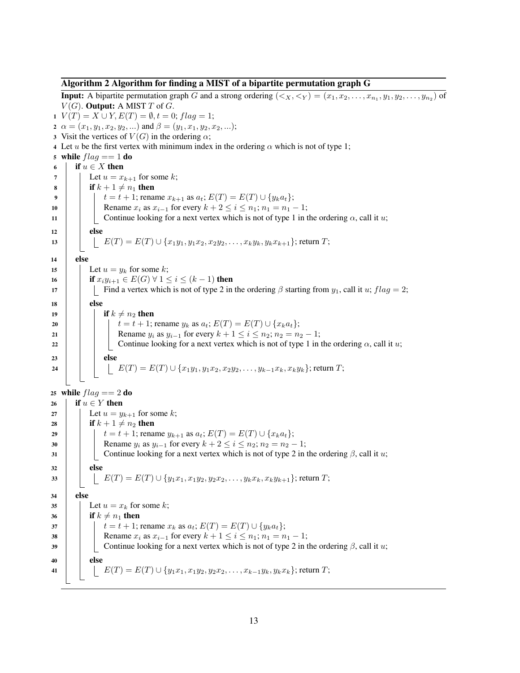#### <span id="page-12-0"></span>Algorithm 2 Algorithm for finding a MIST of a bipartite permutation graph G

**Input:** A bipartite permutation graph G and a strong ordering  $(\leq_X, \leq_Y) = (x_1, x_2, \ldots, x_{n_1}, y_1, y_2, \ldots, y_{n_2})$  of  $V(G)$ . **Output:** A MIST T of G. 1  $V(T) = X \cup Y, E(T) = \emptyset, t = 0; flag = 1;$ 2  $\alpha = (x_1, y_1, x_2, y_2, ...)$  and  $\beta = (y_1, x_1, y_2, x_2, ...)$ ; 3 Visit the vertices of  $V(G)$  in the ordering  $\alpha$ ; 4 Let u be the first vertex with minimum index in the ordering  $\alpha$  which is not of type 1; 5 while  $flag == 1$  do 6 if  $u \in X$  then<br>7 if  $u \in X$  then Let  $u = x_{k+1}$  for some k; 8 if  $k + 1 \neq n_1$  then<br>9 if  $k + 1 \neq n_1$  then 9  $t = t + 1$ ; rename  $x_{k+1}$  as  $a_t$ ;  $E(T) = E(T) \cup \{y_k a_t\}$ ;<br>
10 Rename  $x_i$  as  $x_{i-1}$  for every  $k + 2 < i < n_1$ ;  $n_1 = n_1$ . 10 Rename  $x_i$  as  $x_{i-1}$  for every  $k + 2 \le i \le n_1; n_1 = n_1 - 1;$ <br>Continue looking for a next vertex which is not of type 1 in t Continue looking for a next vertex which is not of type 1 in the ordering  $\alpha$ , call it u;  $12$  else 13  $\left| \begin{array}{c} | \end{array} \right|$   $E(T) = E(T) \cup \{x_1y_1, y_1x_2, x_2y_2, \ldots, x_ky_k, y_kx_{k+1}\};$  return  $T$ ; <sup>14</sup> else 15 | Let  $u = y_k$  for some k; 16 **if**  $x_i y_{i+1} \in E(G) \ \forall \ 1 \leq i \leq (k-1)$  then 17 Find a vertex which is not of type 2 in the ordering  $\beta$  starting from  $y_1$ , call it u;  $flag = 2$ ;  $18$  else 19 if  $k \neq n_2$  then 20  $t = t + 1$ ; rename  $y_k$  as  $a_t$ ;  $E(T) = E(T) \cup \{x_k a_t\}$ ;<br>21 Rename  $y_i$  as  $y_{i-1}$  for every  $k + 1 \le i \le n_2$ ;  $n_2 = n_2$ 21 Rename  $y_i$  as  $y_{i-1}$  for every  $k + 1 \le i \le n_2$ ;  $n_2 = n_2 - 1$ ;<br>
22 Continue looking for a next vertex which is not of type 1 in Continue looking for a next vertex which is not of type 1 in the ordering  $\alpha$ , call it u;  $23$  else 24  $\Box$   $E(T) = E(T) \cup \{x_1y_1, y_1x_2, x_2y_2, \ldots, y_{k-1}x_k, x_ky_k\}$ ; return T; 25 while  $flag == 2$  do 26 if  $u \in Y$  then<br>27 if  $u \in Y$  then Let  $u = y_{k+1}$  for some k; 28 if  $k + 1 \neq n_2$  then<br>  $\begin{array}{|c|c|c|} \hline \text{if} & k + 1 \neq n_2 \text{ then} \\ \hline \end{array}$ <br>  $t = t + 1$ ; rena  $t = t + 1$ ; rename  $y_{k+1}$  as  $a_t$ ;  $E(T) = E(T) \cup \{x_k a_t\}$ ; 30 Rename  $y_i$  as  $y_{i-1}$  for every  $k + 2 \le i \le n_2$ ;  $n_2 = n_2 - 1$ ; 31 Continue looking for a next vertex which is not of type 2 in the ordering  $\beta$ , call it u;  $32$  else 33  $\Big|$   $E(T) = E(T) \cup \{y_1x_1, x_1y_2, y_2x_2, \ldots, y_kx_k, x_ky_{k+1}\};$  return T; <sup>34</sup> else 35 | Let  $u = x_k$  for some k; 36 if  $k \neq n_1$  then<br>37 if  $t = t + 1$ 37  $t = t + 1$ ; rename  $x_k$  as  $a_t$ ;  $E(T) = E(T) \cup \{y_k a_t\}$ ;<br>38 Rename  $x_i$  as  $x_{i-1}$  for every  $k + 1 \le i \le n_1$ ;  $n_1 = n$ 38 Rename  $x_i$  as  $x_{i-1}$  for every  $k + 1 \le i \le n_1; n_1 = n_1 - 1;$ <br>39 Continue looking for a next vertex which is not of type 2 in t Continue looking for a next vertex which is not of type 2 in the ordering  $\beta$ , call it u; 40 **else** 41  $\left| \begin{array}{c} \end{array} \right|$   $E(T) = E(T) \cup \{y_1x_1, x_1y_2, y_2x_2, \ldots, x_{k-1}y_k, y_kx_k\};$  return  $T$ ;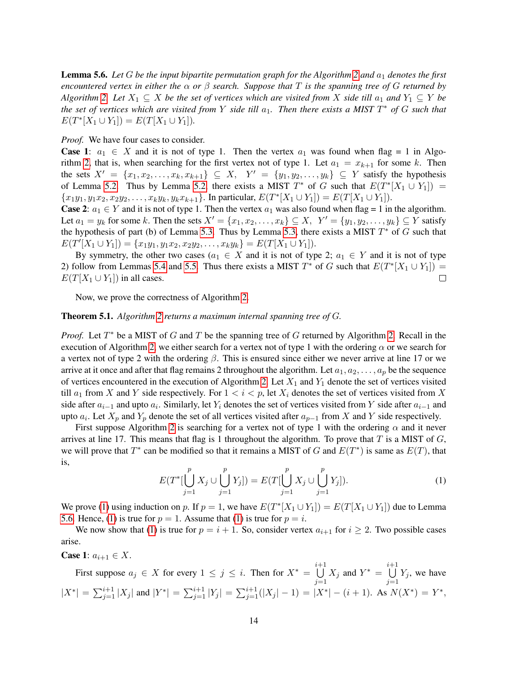<span id="page-13-1"></span>**Lemma 5.6.** Let  $G$  be the input bipartite permutation graph for the Algorithm [2](#page-12-0) and  $a_1$  denotes the first *encountered vertex in either the*  $\alpha$  *or*  $\beta$  *search. Suppose that* T *is the spanning tree of* G *returned by Algorithm* [2.](#page-12-0) Let  $X_1 \subseteq X$  *be the set of vertices which are visited from* X *side till*  $a_1$  *and*  $Y_1 \subseteq Y$  *be the set of vertices which are visited from* Y *side till* a1*. Then there exists a MIST* T <sup>∗</sup> *of* G *such that*  $E(T^*[X_1 \cup Y_1]) = E(T[X_1 \cup Y_1]).$ 

*Proof.* We have four cases to consider.

**Case 1:**  $a_1 \in X$  and it is not of type 1. Then the vertex  $a_1$  was found when flag = 1 in Algo-rithm [2,](#page-12-0) that is, when searching for the first vertex not of type 1. Let  $a_1 = x_{k+1}$  for some k. Then the sets  $X' = \{x_1, x_2, \ldots, x_k, x_{k+1}\} \subseteq X$ ,  $Y' = \{y_1, y_2, \ldots, y_k\} \subseteq Y$  satisfy the hypothesis of Lemma [5.2.](#page-8-0) Thus by Lemma [5.2,](#page-8-0) there exists a MIST  $T^*$  of G such that  $E(T^*[X_1 \cup Y_1]) =$  ${x_1y_1, y_1x_2, x_2y_2, \ldots, x_ky_k, y_kx_{k+1}}$ . In particular,  $E(T^*[X_1 \cup Y_1]) = E(T[X_1 \cup Y_1])$ .

**Case 2:**  $a_1 \in Y$  and it is not of type 1. Then the vertex  $a_1$  was also found when flag = 1 in the algorithm. Let  $a_1 = y_k$  for some k. Then the sets  $X' = \{x_1, x_2, \ldots, x_k\} \subseteq X$ ,  $Y' = \{y_1, y_2, \ldots, y_k\} \subseteq Y$  satisfy the hypothesis of part (b) of Lemma [5.3.](#page-9-0) Thus by Lemma [5.3,](#page-9-0) there exists a MIST  $T^*$  of  $G$  such that  $E(T'[X_1 \cup Y_1]) = \{x_1y_1, y_1x_2, x_2y_2, \ldots, x_ky_k\} = E(T[X_1 \cup Y_1]).$ 

By symmetry, the other two cases ( $a_1 \in X$  and it is not of type 2;  $a_1 \in Y$  and it is not of type 2) follow from Lemmas [5.4](#page-11-0) and [5.5.](#page-11-1) Thus there exists a MIST  $T^*$  of G such that  $E(T^*[X_1 \cup Y_1]) =$  $E(T[X_1 \cup Y_1])$  in all cases.

Now, we prove the correctness of Algorithm [2.](#page-12-0)

#### Theorem 5.1. *Algorithm [2](#page-12-0) returns a maximum internal spanning tree of* G*.*

*Proof.* Let  $T^*$  be a MIST of G and T be the spanning tree of G returned by Algorithm [2.](#page-12-0) Recall in the execution of Algorithm [2,](#page-12-0) we either search for a vertex not of type 1 with the ordering  $\alpha$  or we search for a vertex not of type 2 with the ordering  $\beta$ . This is ensured since either we never arrive at line 17 or we arrive at it once and after that flag remains 2 throughout the algorithm. Let  $a_1, a_2, \ldots, a_n$  be the sequence of vertices encountered in the execution of Algorithm [2.](#page-12-0) Let  $X_1$  and  $Y_1$  denote the set of vertices visited till  $a_1$  from X and Y side respectively. For  $1 < i < p$ , let  $X_i$  denotes the set of vertices visited from X side after  $a_{i-1}$  and upto  $a_i$ . Similarly, let  $Y_i$  denotes the set of vertices visited from Y side after  $a_{i-1}$  and upto  $a_i$ . Let  $X_p$  and  $Y_p$  denote the set of all vertices visited after  $a_{p-1}$  from X and Y side respectively.

First suppose Algorithm [2](#page-12-0) is searching for a vertex not of type 1 with the ordering  $\alpha$  and it never arrives at line 17. This means that flag is 1 throughout the algorithm. To prove that  $T$  is a MIST of  $G$ , we will prove that  $T^*$  can be modified so that it remains a MIST of G and  $E(T^*)$  is same as  $E(T)$ , that is,

<span id="page-13-0"></span>
$$
E(T^*[\bigcup_{j=1}^p X_j \cup \bigcup_{j=1}^p Y_j]) = E(T[\bigcup_{j=1}^p X_j \cup \bigcup_{j=1}^p Y_j]).
$$
\n(1)

We prove [\(1\)](#page-13-0) using induction on p. If  $p = 1$ , we have  $E(T^*[X_1 \cup Y_1]) = E(T[X_1 \cup Y_1])$  due to Lemma [5.6.](#page-13-1) Hence, [\(1\)](#page-13-0) is true for  $p = 1$ . Assume that (1) is true for  $p = i$ .

We now show that [\(1\)](#page-13-0) is true for  $p = i + 1$ . So, consider vertex  $a_{i+1}$  for  $i \ge 2$ . Two possible cases arise.

**Case 1:**  $a_{i+1} \in X$ .

First suppose 
$$
a_j \in X
$$
 for every  $1 \le j \le i$ . Then for  $X^* = \bigcup_{j=1}^{i+1} X_j$  and  $Y^* = \bigcup_{j=1}^{i+1} Y_j$ , we have  $|X^*| = \sum_{j=1}^{i+1} |X_j|$  and  $|Y^*| = \sum_{j=1}^{i+1} |Y_j| = \sum_{j=1}^{i+1} (|X_j| - 1) = |X^*| - (i + 1)$ . As  $N(X^*) = Y^*$ ,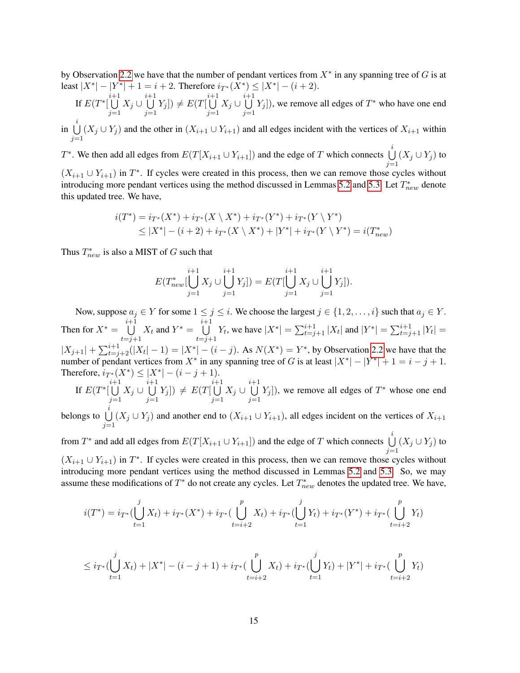by Observation [2.2](#page-2-1) we have that the number of pendant vertices from  $X^*$  in any spanning tree of G is at least  $|X^*| - |Y^*| + 1 = i + 2$ . Therefore  $i_{T^*}(X^*) \le |X^*| - (i + 2)$ .<br> $i_{+1}$ 

If 
$$
E(T^*[\bigcup_{j=1}^{i+1} X_j \cup \bigcup_{j=1}^{i+1} Y_j]) \neq E(T[\bigcup_{j=1}^{i+1} X_j \cup \bigcup_{j=1}^{i+1} Y_j])
$$
, we remove all edges of  $T^*$  who have one end

 $\mathop{\mathrm{in}}\limits^i$  $\bigcup_{j=1} (X_j \cup Y_j)$  and the other in  $(X_{i+1} \cup Y_{i+1})$  and all edges incident with the vertices of  $X_{i+1}$  within

T<sup>\*</sup>. We then add all edges from  $E(T[X_{i+1} \cup Y_{i+1}])$  and the edge of T which connects  $\bigcup_{i=1}^{i}$  $j=1$  $(X_j \cup Y_j)$  to

 $(X_{i+1} \cup Y_{i+1})$  in  $T^*$ . If cycles were created in this process, then we can remove those cycles without introducing more pendant vertices using the method discussed in Lemmas [5.2](#page-8-0) and [5.3.](#page-9-0) Let  $T_{new}^*$  denote this updated tree. We have,

$$
i(T^*) = i_{T^*}(X^*) + i_{T^*}(X \setminus X^*) + i_{T^*}(Y^*) + i_{T^*}(Y \setminus Y^*)
$$
  
\n
$$
\leq |X^*| - (i+2) + i_{T^*}(X \setminus X^*) + |Y^*| + i_{T^*}(Y \setminus Y^*) = i(T^*_{new})
$$

Thus  $T_{new}^*$  is also a MIST of G such that

$$
E(T_{new}^*[\bigcup_{j=1}^{i+1} X_j \cup \bigcup_{j=1}^{i+1} Y_j]) = E(T[\bigcup_{j=1}^{i+1} X_j \cup \bigcup_{j=1}^{i+1} Y_j]).
$$

Now, suppose  $a_j \in Y$  for some  $1 \le j \le i$ . We choose the largest  $j \in \{1, 2, ..., i\}$  such that  $a_j \in Y$ . Then for  $X^* = \bigcup_{i=1}^{i+1}$  $t=j+1$  $X_t$  and  $Y^* = \bigcup_{i=1}^{i+1}$  $t = j + 1$  $Y_t$ , we have  $|X^*| = \sum_{t=j+1}^{i+1} |X_t|$  and  $|Y^*| = \sum_{t=j+1}^{i+1} |Y_t|$  $|X_{j+1}| + \sum_{t=j+2}^{i+1} (|X_t| - 1) = |X^*| - (i - j)$ . As  $N(X^*) = Y^*$ , by Observation [2.2](#page-2-1) we have that the number of pendant vertices from  $X^*$  in any spanning tree of G is at least  $|X^*| - |Y^*|$  $|-|Y^*|+1=i-j+1.$ Therefore,  $i_{T^*}(X^*) \le |X^*| - (i - j + 1)$ .

If  $E(T^*$ [  $\bigcup^{i+1}$  $\bigcup\limits_{j=1} X_j \cup$  $\bigcup^{i+1}$  $\bigcup_{j=1} Y_j$ ])  $\neq E(T[$  $\bigcup^{i+1}$  $\bigcup\limits_{j=1} X_j \cup$  $\bigcup^{i+1}$  $j=1$  $[Y_j]$ ), we remove all edges of  $T^*$  whose one end i

belongs to  $\bigcup$  $\bigcup_{j=1} (X_j \cup Y_j)$  and another end to  $(X_{i+1} \cup Y_{i+1})$ , all edges incident on the vertices of  $X_{i+1}$ 

from  $T^*$  and add all edges from  $E(T[X_{i+1} \cup Y_{i+1}])$  and the edge of T which connects  $\bigcup_{i=1}^{i}$  $\bigcup_{j=1} (X_j \cup Y_j)$  to  $(X_{i+1} \cup Y_{i+1})$  in  $T^*$ . If cycles were created in this process, then we can remove those cycles without introducing more pendant vertices using the method discussed in Lemmas [5.2](#page-8-0) and [5.3.](#page-9-0) So, we may assume these modifications of  $T^*$  do not create any cycles. Let  $T^*_{new}$  denotes the updated tree. We have,

$$
i(T^*) = i_{T^*}(\bigcup_{t=1}^j X_t) + i_{T^*}(X^*) + i_{T^*}(\bigcup_{t=i+2}^p X_t) + i_{T^*}(\bigcup_{t=1}^j Y_t) + i_{T^*}(Y^*) + i_{T^*}(\bigcup_{t=i+2}^p Y_t)
$$

$$
\leq i_{T^*}(\bigcup_{t=1}^j X_t) + |X^*| - (i - j + 1) + i_{T^*}(\bigcup_{t=i+2}^p X_t) + i_{T^*}(\bigcup_{t=1}^j Y_t) + |Y^*| + i_{T^*}(\bigcup_{t=i+2}^p Y_t)
$$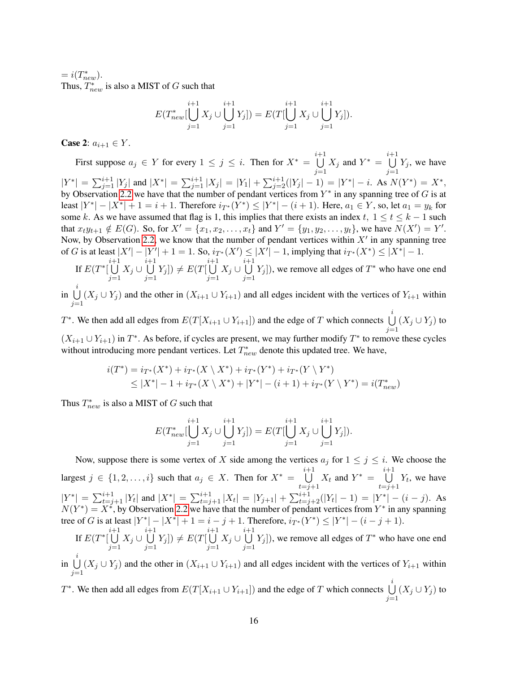$= i(T^*_{new}).$ Thus,  $T_{new}^*$  is also a MIST of G such that

$$
E(T_{new}^*[\bigcup_{j=1}^{i+1} X_j \cup \bigcup_{j=1}^{i+1} Y_j]) = E(T[\bigcup_{j=1}^{i+1} X_j \cup \bigcup_{j=1}^{i+1} Y_j]).
$$

**Case 2:**  $a_{i+1} \in Y$ .

First suppose  $a_j \in Y$  for every  $1 \leq j \leq i$ . Then for  $X^* = \bigcup_{j=1}^{i+1}$  $j=1$  $X_j$  and  $Y^* = \bigcup_{i=1}^{i+1}$  $j=1$  $Y_j$ , we have  $|Y^*| = \sum_{j=1}^{i+1} |Y_j|$  and  $|X^*| = \sum_{j=1}^{i+1} |X_j| = |Y_1| + \sum_{j=2}^{i+1} (|Y_j| - 1) = |Y^*| - i$ . As  $N(Y^*) = X^*$ , by Observation [2.2](#page-2-1) we have that the number of pendant vertices from  $Y^*$  in any spanning tree of G is at least  $|Y^*| - |X^*| + 1 = i + 1$ . Therefore  $i_{T^*}(Y^*) \le |Y^*| - (i + 1)$ . Here,  $a_1 \in Y$ , so, let  $a_1 = y_k$  for some k. As we have assumed that flag is 1, this implies that there exists an index t,  $1 \le t \le k - 1$  such that  $x_t y_{t+1} \notin E(G)$ . So, for  $X' = \{x_1, x_2, \dots, x_t\}$  and  $Y' = \{y_1, y_2, \dots, y_t\}$ , we have  $N(X') = Y'$ . Now, by Observation [2.2,](#page-2-1) we know that the number of pendant vertices within  $X'$  in any spanning tree of G is at least  $|X'|-|Y'|+1=1$ . So,  $i_{T^*}(X') \leq |X'|-1$ , implying that  $i_{T^*}(X^*) \leq |X^*|-1$ .

If  $E(T^*$ [  $\bigcup^{i+1}$  $\bigcup\limits_{j=1} X_j \cup$  $\bigcup^{i+1}$  $\bigcup_{j=1} Y_j$   $\neq E(T$  $\bigcup^{i+1}$  $\bigcup_{j=1} X_j \cup$  $\bigcup^{i+1}$  $j=1$  $[Y_j]$ ), we remove all edges of  $T^*$  who have one end

 $\mathop{\mathrm{in}}\limits^i$  $\bigcup_{j=1} (X_j \cup Y_j)$  and the other in  $(X_{i+1} \cup Y_{i+1})$  and all edges incident with the vertices of  $Y_{i+1}$  within

T<sup>\*</sup>. We then add all edges from  $E(T[X_{i+1} \cup Y_{i+1}])$  and the edge of T which connects  $\bigcup_{i=1}^{i}$  $\bigcup_{j=1} (X_j \cup Y_j)$  to  $(X_{i+1} \cup Y_{i+1})$  in  $T^*$ . As before, if cycles are present, we may further modify  $T^*$  to remove these cycles without introducing more pendant vertices. Let  $T_{new}^*$  denote this updated tree. We have,

$$
i(T^*) = i_{T^*}(X^*) + i_{T^*}(X \setminus X^*) + i_{T^*}(Y^*) + i_{T^*}(Y \setminus Y^*)
$$
  
\n
$$
\leq |X^*| - 1 + i_{T^*}(X \setminus X^*) + |Y^*| - (i+1) + i_{T^*}(Y \setminus Y^*) = i(T^*_{new})
$$

Thus  $T_{new}^*$  is also a MIST of G such that

$$
E(T_{new}^*[\bigcup_{j=1}^{i+1} X_j \cup \bigcup_{j=1}^{i+1} Y_j]) = E(T[\bigcup_{j=1}^{i+1} X_j \cup \bigcup_{j=1}^{i+1} Y_j]).
$$

Now, suppose there is some vertex of X side among the vertices  $a_j$  for  $1 \leq j \leq i$ . We choose the largest  $j \in \{1, 2, \ldots, i\}$  such that  $a_j \in X$ . Then for  $X^* = \bigcup_{i=1}^{i+1}$  $t=j+1$  $X_t$  and  $Y^* = \bigcup_{i=1}^{i+1}$  $t=j+1$  $Y_t$ , we have  $|Y^*| = \sum_{t=j+1}^{i+1} |Y_t|$  and  $|X^*| = \sum_{t=j+1}^{i+1} |X_t| = |Y_{j+1}| + \sum_{t=j+2}^{i+1} (|Y_t| - 1) = |Y^*| - (i - j)$ . As  $N(Y^*) = X^*$ , by Observation [2.2](#page-2-1) we have that the number of pendant vertices from  $Y^*$  in any spanning tree of G is at least  $|Y^*| - |X^*| + 1 = i - j + 1$ . Therefore,  $i_{T^*}(Y^*) \le |Y^*| - (i - j + 1)$ .

If  $E(T^*$ [  $\bigcup^{i+1}$  $\bigcup\limits_{j=1} X_j \cup$  $\bigcup^{i+1}$  $\bigcup_{j=1} Y_j$   $\neq E(T$  $\bigcup^{i+1}$  $\bigcup\limits_{j=1} X_j \cup$  $\bigcup^{i+1}$  $j=1$  $[Y_j]$ ), we remove all edges of  $T^*$  who have one end

 $\mathop{\mathrm{in}}\limits^i$  $\bigcup_{j=1} (X_j \cup Y_j)$  and the other in  $(X_{i+1} \cup Y_{i+1})$  and all edges incident with the vertices of  $Y_{i+1}$  within

T<sup>\*</sup>. We then add all edges from  $E(T[X_{i+1} \cup Y_{i+1}])$  and the edge of T which connects  $\bigcup_{i=1}^{i}$  $\bigcup_{j=1} (X_j \cup Y_j)$  to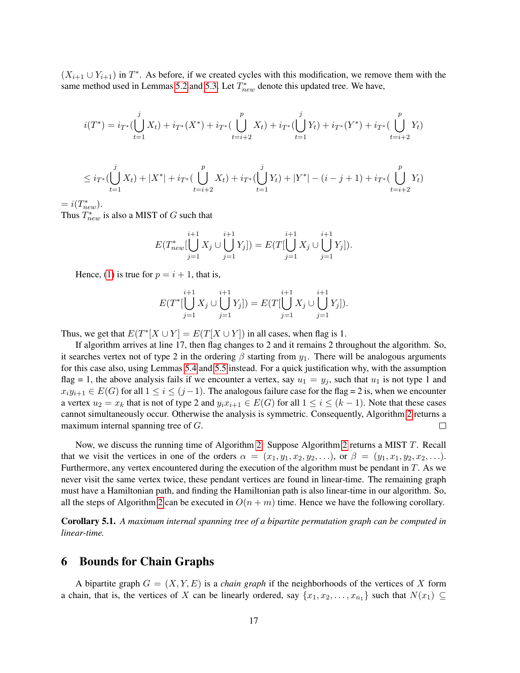$(X_{i+1} \cup Y_{i+1})$  in  $T^*$ . As before, if we created cycles with this modification, we remove them with the same method used in Lemmas [5.2](#page-8-0) and [5.3.](#page-9-0) Let  $T_{new}^*$  denote this updated tree. We have,

$$
i(T^*) = i_{T^*}(\bigcup_{t=1}^j X_t) + i_{T^*}(X^*) + i_{T^*}(\bigcup_{t=i+2}^p X_t) + i_{T^*}(\bigcup_{t=1}^j Y_t) + i_{T^*}(Y^*) + i_{T^*}(\bigcup_{t=i+2}^p Y_t)
$$

$$
\leq i_{T^*}(\bigcup_{t=1}^j X_t) + |X^*| + i_{T^*}(\bigcup_{t=i+2}^p X_t) + i_{T^*}(\bigcup_{t=1}^j Y_t) + |Y^*| - (i - j + 1) + i_{T^*}(\bigcup_{t=i+2}^p Y_t)
$$

 $= i(T^*_{new}).$ 

Thus  $T_{new}^*$  is also a MIST of G such that

$$
E(T_{new}^*[\bigcup_{j=1}^{i+1} X_j \cup \bigcup_{j=1}^{i+1} Y_j]) = E(T[\bigcup_{j=1}^{i+1} X_j \cup \bigcup_{j=1}^{i+1} Y_j]).
$$

Hence, [\(1\)](#page-13-0) is true for  $p = i + 1$ , that is,

$$
E(T^*[\bigcup_{j=1}^{i+1} X_j \cup \bigcup_{j=1}^{i+1} Y_j]) = E(T[\bigcup_{j=1}^{i+1} X_j \cup \bigcup_{j=1}^{i+1} Y_j]).
$$

Thus, we get that  $E(T^*[X \cup Y] = E(T[X \cup Y])$  in all cases, when flag is 1.

If algorithm arrives at line 17, then flag changes to 2 and it remains 2 throughout the algorithm. So, it searches vertex not of type 2 in the ordering  $\beta$  starting from  $y_1$ . There will be analogous arguments for this case also, using Lemmas [5.4](#page-11-0) and [5.5](#page-11-1) instead. For a quick justification why, with the assumption flag = 1, the above analysis fails if we encounter a vertex, say  $u_1 = y_i$ , such that  $u_1$  is not type 1 and  $x_iy_{i+1} \in E(G)$  for all  $1 \le i \le (j-1)$ . The analogous failure case for the flag = 2 is, when we encounter a vertex  $u_2 = x_k$  that is not of type 2 and  $y_i x_{i+1} \in E(G)$  for all  $1 \le i \le (k-1)$ . Note that these cases cannot simultaneously occur. Otherwise the analysis is symmetric. Consequently, Algorithm [2](#page-12-0) returns a maximum internal spanning tree of G.  $\Box$ 

Now, we discuss the running time of Algorithm [2.](#page-12-0) Suppose Algorithm [2](#page-12-0) returns a MIST T. Recall that we visit the vertices in one of the orders  $\alpha = (x_1, y_1, x_2, y_2, \ldots)$ , or  $\beta = (y_1, x_1, y_2, x_2, \ldots)$ . Furthermore, any vertex encountered during the execution of the algorithm must be pendant in  $T$ . As we never visit the same vertex twice, these pendant vertices are found in linear-time. The remaining graph must have a Hamiltonian path, and finding the Hamiltonian path is also linear-time in our algorithm. So, all the steps of Algorithm [2](#page-12-0) can be executed in  $O(n + m)$  time. Hence we have the following corollary.

Corollary 5.1. *A maximum internal spanning tree of a bipartite permutation graph can be computed in linear-time.*

## <span id="page-16-0"></span>6 Bounds for Chain Graphs

A bipartite graph  $G = (X, Y, E)$  is a *chain graph* if the neighborhoods of the vertices of X form a chain, that is, the vertices of X can be linearly ordered, say  $\{x_1, x_2, \ldots, x_{n_1}\}$  such that  $N(x_1) \subseteq$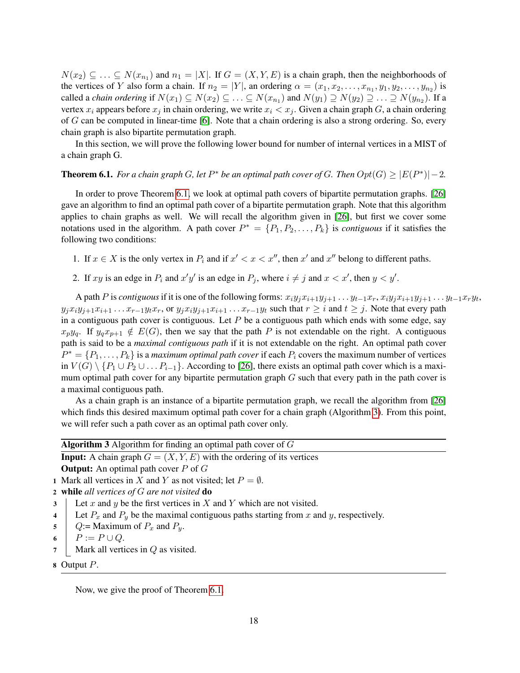$N(x_2) \subseteq \ldots \subseteq N(x_{n_1})$  and  $n_1 = |X|$ . If  $G = (X, Y, E)$  is a chain graph, then the neighborhoods of the vertices of Y also form a chain. If  $n_2 = |Y|$ , an ordering  $\alpha = (x_1, x_2, \dots, x_{n_1}, y_1, y_2, \dots, y_{n_2})$  is called a *chain ordering* if  $N(x_1) \subseteq N(x_2) \subseteq \ldots \subseteq N(x_{n_1})$  and  $N(y_1) \supseteq N(y_2) \supseteq \ldots \supseteq N(y_{n_2})$ . If a vertex  $x_i$  appears before  $x_j$  in chain ordering, we write  $x_i < x_j$ . Given a chain graph G, a chain ordering of G can be computed in linear-time [\[6\]](#page-22-16). Note that a chain ordering is also a strong ordering. So, every chain graph is also bipartite permutation graph.

In this section, we will prove the following lower bound for number of internal vertices in a MIST of a chain graph G.

## <span id="page-17-0"></span>**Theorem 6.1.** For a chain graph G, let  $P^*$  be an optimal path cover of G. Then  $Opt(G) \geq |E(P^*)|-2$ .

In order to prove Theorem [6.1,](#page-17-0) we look at optimal path covers of bipartite permutation graphs. [\[26\]](#page-23-6) gave an algorithm to find an optimal path cover of a bipartite permutation graph. Note that this algorithm applies to chain graphs as well. We will recall the algorithm given in [\[26\]](#page-23-6), but first we cover some notations used in the algorithm. A path cover  $P^* = \{P_1, P_2, \ldots, P_k\}$  is *contiguous* if it satisfies the following two conditions:

- 1. If  $x \in X$  is the only vertex in  $P_i$  and if  $x' < x < x''$ , then  $x'$  and  $x''$  belong to different paths.
- 2. If  $xy$  is an edge in  $P_i$  and  $x'y'$  is an edge in  $P_j$ , where  $i \neq j$  and  $x < x'$ , then  $y < y'$ .

A path P is *contiguous* if it is one of the following forms:  $x_i y_j x_{i+1} y_{j+1} \ldots y_{t-1} x_r, x_i y_j x_{i+1} y_{j+1} \ldots y_{t-1} x_r y_t$ ,  $y_jx_iy_{j+1}x_{i+1} \ldots x_{r-1}y_tx_r$ , or  $y_jx_iy_{j+1}x_{i+1} \ldots x_{r-1}y_t$  such that  $r \geq i$  and  $t \geq j$ . Note that every path in a contiguous path cover is contiguous. Let  $P$  be a contiguous path which ends with some edge, say  $x_py_q$ . If  $y_qx_{p+1} \notin E(G)$ , then we say that the path P is not extendable on the right. A contiguous path is said to be a *maximal contiguous path* if it is not extendable on the right. An optimal path cover  $P^* = \{P_1, \ldots, P_k\}$  is a *maximum optimal path cover* if each  $P_i$  covers the maximum number of vertices in  $V(G) \setminus \{P_1 \cup P_2 \cup \ldots P_{i-1}\}.$  According to [\[26\]](#page-23-6), there exists an optimal path cover which is a maximum optimal path cover for any bipartite permutation graph  $G$  such that every path in the path cover is a maximal contiguous path.

As a chain graph is an instance of a bipartite permutation graph, we recall the algorithm from [\[26\]](#page-23-6) which finds this desired maximum optimal path cover for a chain graph (Algorithm [3\)](#page-17-1). From this point, we will refer such a path cover as an optimal path cover only.

<span id="page-17-1"></span>

|                                                | <b>Algorithm 3</b> Algorithm for finding an optimal path cover of $G$                    |
|------------------------------------------------|------------------------------------------------------------------------------------------|
|                                                | <b>Input:</b> A chain graph $G = (X, Y, E)$ with the ordering of its vertices            |
|                                                | <b>Output:</b> An optimal path cover $P$ of $G$                                          |
|                                                | 1 Mark all vertices in X and Y as not visited; let $P = \emptyset$ .                     |
| 2 while all vertices of $G$ are not visited do |                                                                                          |
| 3 <sup>7</sup>                                 | Let x and y be the first vertices in X and Y which are not visited.                      |
| $\overline{\mathbf{4}}$                        | Let $P_x$ and $P_y$ be the maximal contiguous paths starting from x and y, respectively. |
| $5-$                                           | Q:= Maximum of $P_x$ and $P_y$ .                                                         |
| $6-$                                           | $P := P \cup Q.$                                                                         |
| $7 \vert$                                      | Mark all vertices in $Q$ as visited.                                                     |

8 Output P.

Now, we give the proof of Theorem [6.1.](#page-17-0)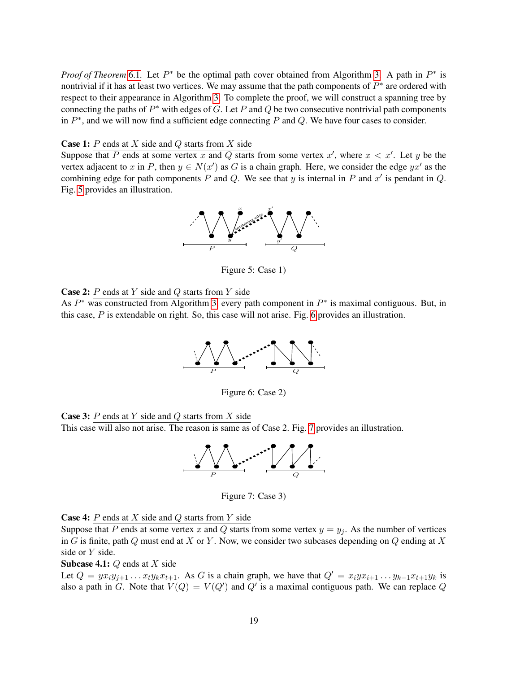*Proof of Theorem* [6.1](#page-17-0). Let  $P^*$  be the optimal path cover obtained from Algorithm [3.](#page-17-1) A path in  $P^*$  is nontrivial if it has at least two vertices. We may assume that the path components of  $P^*$  are ordered with respect to their appearance in Algorithm [3.](#page-17-1) To complete the proof, we will construct a spanning tree by connecting the paths of  $P^*$  with edges of G. Let P and Q be two consecutive nontrivial path components in  $P^*$ , and we will now find a sufficient edge connecting P and Q. We have four cases to consider.

**Case 1:**  $P$  ends at  $X$  side and  $Q$  starts from  $X$  side

Suppose that P ends at some vertex x and Q starts from some vertex x', where  $x < x'$ . Let y be the vertex adjacent to x in P, then  $y \in N(x')$  as G is a chain graph. Here, we consider the edge  $yx'$  as the combining edge for path components P and Q. We see that y is internal in P and  $x'$  is pendant in Q. Fig. [5](#page-18-0) provides an illustration.



<span id="page-18-0"></span>Figure 5: Case 1)

**Case 2:**  $P$  ends at  $Y$  side and  $Q$  starts from  $Y$  side

As  $P^*$  was constructed from Algorithm [3,](#page-17-1) every path component in  $P^*$  is maximal contiguous. But, in this case, P is extendable on right. So, this case will not arise. Fig. [6](#page-18-1) provides an illustration.



<span id="page-18-1"></span>Figure 6: Case 2)





<span id="page-18-2"></span>Figure 7: Case 3)

**Case 4:**  $P$  ends at  $X$  side and  $Q$  starts from  $Y$  side

Suppose that P ends at some vertex x and Q starts from some vertex  $y = y_i$ . As the number of vertices in G is finite, path Q must end at X or Y. Now, we consider two subcases depending on Q ending at X side or Y side.

**Subcase 4.1:**  $Q$  ends at  $X$  side

Let  $Q = yx_i\overline{y_{j+1} \dots x_t y_k x_{t+1}}$ . As G is a chain graph, we have that  $Q' = x_i y x_{i+1} \dots y_{k-1} x_{t+1} y_k$  is also a path in G. Note that  $V(Q) = V(Q')$  and  $Q'$  is a maximal contiguous path. We can replace Q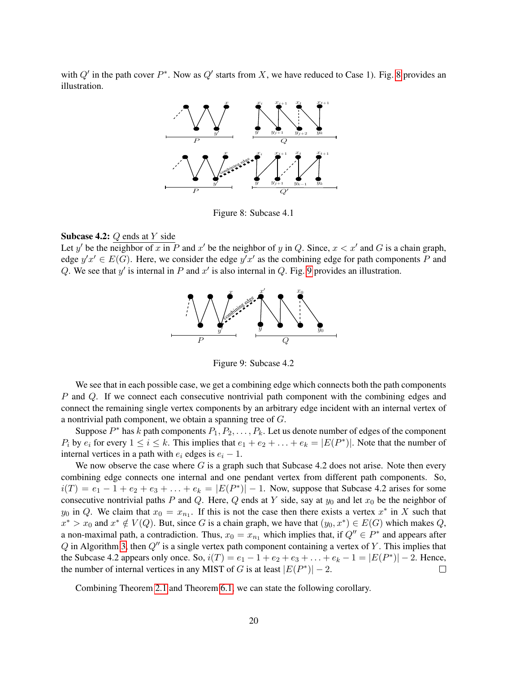with  $Q'$  in the path cover  $P^*$ . Now as  $Q'$  starts from X, we have reduced to Case 1). Fig. [8](#page-19-0) provides an illustration.



<span id="page-19-0"></span>Figure 8: Subcase 4.1

#### **Subcase 4.2:**  $Q$  ends at  $Y$  side

Let y' be the neighbor of x in P and x' be the neighbor of y in Q. Since,  $x < x'$  and G is a chain graph, edge  $y'x' \in E(G)$ . Here, we consider the edge  $y'x'$  as the combining edge for path components P and Q. We see that  $y'$  is internal in P and  $x'$  is also internal in Q. Fig. [9](#page-19-1) provides an illustration.



<span id="page-19-1"></span>Figure 9: Subcase 4.2

We see that in each possible case, we get a combining edge which connects both the path components P and Q. If we connect each consecutive nontrivial path component with the combining edges and connect the remaining single vertex components by an arbitrary edge incident with an internal vertex of a nontrivial path component, we obtain a spanning tree of G.

Suppose  $P^*$  has k path components  $P_1, P_2, \ldots, P_k$ . Let us denote number of edges of the component  $P_i$  by  $e_i$  for every  $1 \le i \le k$ . This implies that  $e_1 + e_2 + \ldots + e_k = |E(P^*)|$ . Note that the number of internal vertices in a path with  $e_i$  edges is  $e_i - 1$ .

We now observe the case where  $G$  is a graph such that Subcase 4.2 does not arise. Note then every combining edge connects one internal and one pendant vertex from different path components. So,  $i(T) = e_1 - 1 + e_2 + e_3 + \ldots + e_k = |E(P^*)| - 1$ . Now, suppose that Subcase 4.2 arises for some consecutive nontrivial paths P and Q. Here, Q ends at Y side, say at  $y_0$  and let  $x_0$  be the neighbor of y<sub>0</sub> in Q. We claim that  $x_0 = x_{n_1}$ . If this is not the case then there exists a vertex  $x^*$  in X such that  $x^* > x_0$  and  $x^* \notin V(Q)$ . But, since G is a chain graph, we have that  $(y_0, x^*) \in E(G)$  which makes Q, a non-maximal path, a contradiction. Thus,  $x_0 = x_{n_1}$  which implies that, if  $Q'' \in P^*$  and appears after  $Q$  in Algorithm [3,](#page-17-1) then  $Q''$  is a single vertex path component containing a vertex of Y. This implies that the Subcase 4.2 appears only once. So,  $i(T) = e_1 - 1 + e_2 + e_3 + \ldots + e_k - 1 = |E(P^*)| - 2$ . Hence, the number of internal vertices in any MIST of G is at least  $|E(P^*)| - 2$ .

Combining Theorem [2.1](#page-2-0) and Theorem [6.1,](#page-17-0) we can state the following corollary.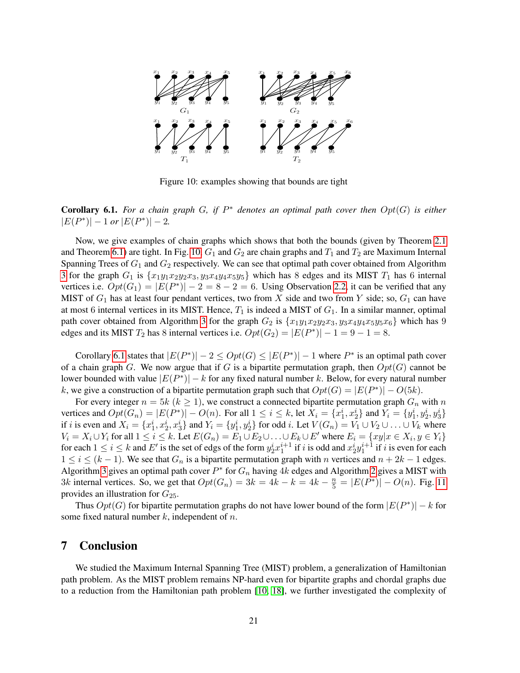

<span id="page-20-1"></span>Figure 10: examples showing that bounds are tight

<span id="page-20-2"></span>**Corollary 6.1.** For a chain graph  $G$ , if  $P^*$  denotes an optimal path cover then  $Opt(G)$  is either  $|E(P^*)| - 1$  *or*  $|E(P^*)| - 2$ *.* 

Now, we give examples of chain graphs which shows that both the bounds (given by Theorem [2.1](#page-2-0) and Theorem [6.1\)](#page-17-0) are tight. In Fig. [10,](#page-20-1)  $G_1$  and  $G_2$  are chain graphs and  $T_1$  and  $T_2$  are Maximum Internal Spanning Trees of  $G_1$  and  $G_2$  respectively. We can see that optimal path cover obtained from Algorithm [3](#page-17-1) for the graph  $G_1$  is  $\{x_1y_1x_2y_2x_3, y_3x_4y_4x_5y_5\}$  which has 8 edges and its MIST  $T_1$  has 6 internal vertices i.e.  $Opt(G_1) = |E(P^*)| - 2 = 8 - 2 = 6$ . Using Observation [2.2,](#page-2-1) it can be verified that any MIST of  $G_1$  has at least four pendant vertices, two from X side and two from Y side; so,  $G_1$  can have at most 6 internal vertices in its MIST. Hence,  $T_1$  is indeed a MIST of  $G_1$ . In a similar manner, optimal path cover obtained from Algorithm [3](#page-17-1) for the graph  $G_2$  is  $\{x_1y_1x_2y_2x_3, y_3x_4y_4x_5y_5x_6\}$  which has 9 edges and its MIST  $T_2$  has 8 internal vertices i.e.  $Opt(G_2) = |E(P^*)| - 1 = 9 - 1 = 8$ .

Corollary [6.1](#page-20-2) states that  $|E(P^*)| - 2 \leq Opt(G) \leq |E(P^*)| - 1$  where  $P^*$  is an optimal path cover of a chain graph G. We now argue that if G is a bipartite permutation graph, then  $Opt(G)$  cannot be lower bounded with value  $|E(P^*)| - k$  for any fixed natural number k. Below, for every natural number k, we give a construction of a bipartite permutation graph such that  $Opt(G) = |E(P^*)| - O(5k)$ .

For every integer  $n = 5k$  ( $k \ge 1$ ), we construct a connected bipartite permutation graph  $G_n$  with n vertices and  $Opt(G_n) = |E(P^*)| - O(n)$ . For all  $1 \le i \le k$ , let  $X_i = \{x_1^i, x_2^i\}$  and  $Y_i = \{y_1^i, y_2^i, y_3^i\}$ if *i* is even and  $X_i = \{x_1^i, x_2^i, x_3^i\}$  and  $Y_i = \{y_1^i, y_2^i\}$  for odd *i*. Let  $V(G_n) = V_1 \cup V_2 \cup \ldots \cup V_k$  where  $V_i = X_i \cup Y_i$  for all  $1 \le i \le k$ . Let  $E(G_n) = E_1 \cup E_2 \cup \ldots \cup E_k \cup E'$  where  $E_i = \{xy | x \in X_i, y \in Y_i\}$ for each  $1 \le i \le k$  and E' is the set of edgs of the form  $y_2^i x_1^{i+1}$  if i is odd and  $x_2^i y_1^{i+1}$  if i is even for each  $1 \le i \le (k-1)$ . We see that  $G_n$  is a bipartite permutation graph with n vertices and  $n + 2k - 1$  edges. Algorithm [3](#page-17-1) gives an optimal path cover  $P^*$  for  $G_n$  having 4k edges and Algorithm [2](#page-12-0) gives a MIST with 3k internal vertices. So, we get that  $Opt(G_n) = 3k = 4k - k = 4k - \frac{n}{5} = |E(P^*)| - O(n)$ . Fig. [11](#page-21-2) provides an illustration for  $G_{25}$ .

Thus  $Opt(G)$  for bipartite permutation graphs do not have lower bound of the form  $|E(P^*)| - k$  for some fixed natural number  $k$ , independent of  $n$ .

#### <span id="page-20-0"></span>7 Conclusion

We studied the Maximum Internal Spanning Tree (MIST) problem, a generalization of Hamiltonian path problem. As the MIST problem remains NP-hard even for bipartite graphs and chordal graphs due to a reduction from the Hamiltonian path problem [\[10,](#page-22-1) [18\]](#page-22-2), we further investigated the complexity of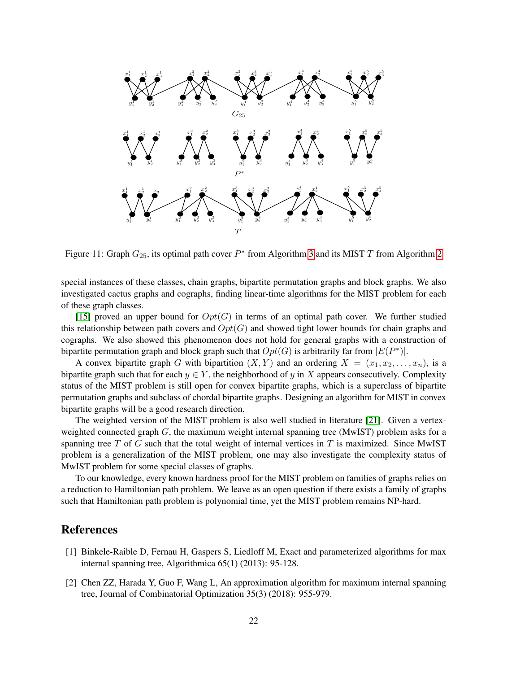

<span id="page-21-2"></span>Figure 11: Graph  $G_{25}$ , its optimal path cover  $P^*$  from Algorithm [3](#page-17-1) and its MIST T from Algorithm [2](#page-12-0)

special instances of these classes, chain graphs, bipartite permutation graphs and block graphs. We also investigated cactus graphs and cographs, finding linear-time algorithms for the MIST problem for each of these graph classes.

[\[15\]](#page-22-10) proved an upper bound for  $Opt(G)$  in terms of an optimal path cover. We further studied this relationship between path covers and  $Opt(G)$  and showed tight lower bounds for chain graphs and cographs. We also showed this phenomenon does not hold for general graphs with a construction of bipartite permutation graph and block graph such that  $Opt(G)$  is arbitrarily far from  $|E(P^*)|$ .

A convex bipartite graph G with bipartition  $(X, Y)$  and an ordering  $X = (x_1, x_2, \ldots, x_n)$ , is a bipartite graph such that for each  $y \in Y$ , the neighborhood of y in X appears consecutively. Complexity status of the MIST problem is still open for convex bipartite graphs, which is a superclass of bipartite permutation graphs and subclass of chordal bipartite graphs. Designing an algorithm for MIST in convex bipartite graphs will be a good research direction.

The weighted version of the MIST problem is also well studied in literature [\[21\]](#page-23-3). Given a vertexweighted connected graph  $G$ , the maximum weight internal spanning tree (MwIST) problem asks for a spanning tree  $T$  of  $G$  such that the total weight of internal vertices in  $T$  is maximized. Since MwIST problem is a generalization of the MIST problem, one may also investigate the complexity status of MwIST problem for some special classes of graphs.

To our knowledge, every known hardness proof for the MIST problem on families of graphs relies on a reduction to Hamiltonian path problem. We leave as an open question if there exists a family of graphs such that Hamiltonian path problem is polynomial time, yet the MIST problem remains NP-hard.

## References

- <span id="page-21-1"></span>[1] Binkele-Raible D, Fernau H, Gaspers S, Liedloff M, Exact and parameterized algorithms for max internal spanning tree, Algorithmica 65(1) (2013): 95-128.
- <span id="page-21-0"></span>[2] Chen ZZ, Harada Y, Guo F, Wang L, An approximation algorithm for maximum internal spanning tree, Journal of Combinatorial Optimization 35(3) (2018): 955-979.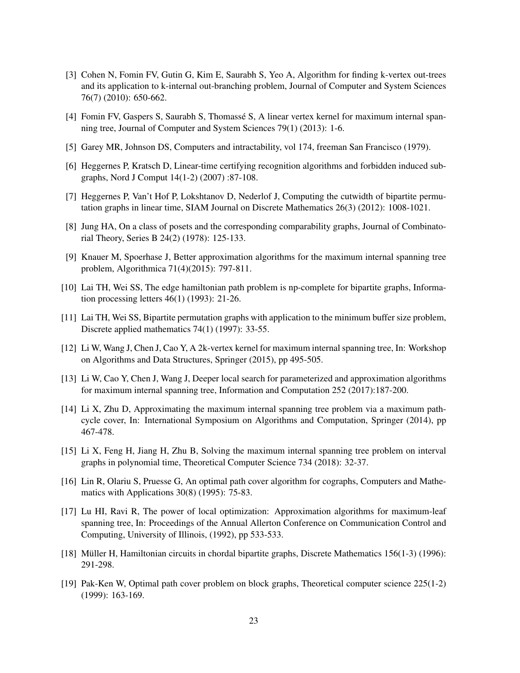- <span id="page-22-7"></span>[3] Cohen N, Fomin FV, Gutin G, Kim E, Saurabh S, Yeo A, Algorithm for finding k-vertex out-trees and its application to k-internal out-branching problem, Journal of Computer and System Sciences 76(7) (2010): 650-662.
- <span id="page-22-8"></span>[4] Fomin FV, Gaspers S, Saurabh S, Thomassé S, A linear vertex kernel for maximum internal spanning tree, Journal of Computer and System Sciences 79(1) (2013): 1-6.
- <span id="page-22-0"></span>[5] Garey MR, Johnson DS, Computers and intractability, vol 174, freeman San Francisco (1979).
- <span id="page-22-16"></span>[6] Heggernes P, Kratsch D, Linear-time certifying recognition algorithms and forbidden induced subgraphs, Nord J Comput 14(1-2) (2007) :87-108.
- <span id="page-22-14"></span>[7] Heggernes P, Van't Hof P, Lokshtanov D, Nederlof J, Computing the cutwidth of bipartite permutation graphs in linear time, SIAM Journal on Discrete Mathematics 26(3) (2012): 1008-1021.
- <span id="page-22-12"></span>[8] Jung HA, On a class of posets and the corresponding comparability graphs, Journal of Combinatorial Theory, Series B 24(2) (1978): 125-133.
- <span id="page-22-4"></span>[9] Knauer M, Spoerhase J, Better approximation algorithms for the maximum internal spanning tree problem, Algorithmica 71(4)(2015): 797-811.
- <span id="page-22-1"></span>[10] Lai TH, Wei SS, The edge hamiltonian path problem is np-complete for bipartite graphs, Information processing letters 46(1) (1993): 21-26.
- <span id="page-22-15"></span>[11] Lai TH, Wei SS, Bipartite permutation graphs with application to the minimum buffer size problem, Discrete applied mathematics 74(1) (1997): 33-55.
- <span id="page-22-9"></span>[12] Li W, Wang J, Chen J, Cao Y, A 2k-vertex kernel for maximum internal spanning tree, In: Workshop on Algorithms and Data Structures, Springer (2015), pp 495-505.
- <span id="page-22-6"></span>[13] Li W, Cao Y, Chen J, Wang J, Deeper local search for parameterized and approximation algorithms for maximum internal spanning tree, Information and Computation 252 (2017):187-200.
- <span id="page-22-5"></span>[14] Li X, Zhu D, Approximating the maximum internal spanning tree problem via a maximum pathcycle cover, In: International Symposium on Algorithms and Computation, Springer (2014), pp 467-478.
- <span id="page-22-10"></span>[15] Li X, Feng H, Jiang H, Zhu B, Solving the maximum internal spanning tree problem on interval graphs in polynomial time, Theoretical Computer Science 734 (2018): 32-37.
- <span id="page-22-13"></span>[16] Lin R, Olariu S, Pruesse G, An optimal path cover algorithm for cographs, Computers and Mathematics with Applications 30(8) (1995): 75-83.
- <span id="page-22-3"></span>[17] Lu HI, Ravi R, The power of local optimization: Approximation algorithms for maximum-leaf spanning tree, In: Proceedings of the Annual Allerton Conference on Communication Control and Computing, University of Illinois, (1992), pp 533-533.
- <span id="page-22-2"></span>[18] Müller H, Hamiltonian circuits in chordal bipartite graphs, Discrete Mathematics 156(1-3) (1996): 291-298.
- <span id="page-22-11"></span>[19] Pak-Ken W, Optimal path cover problem on block graphs, Theoretical computer science 225(1-2) (1999): 163-169.